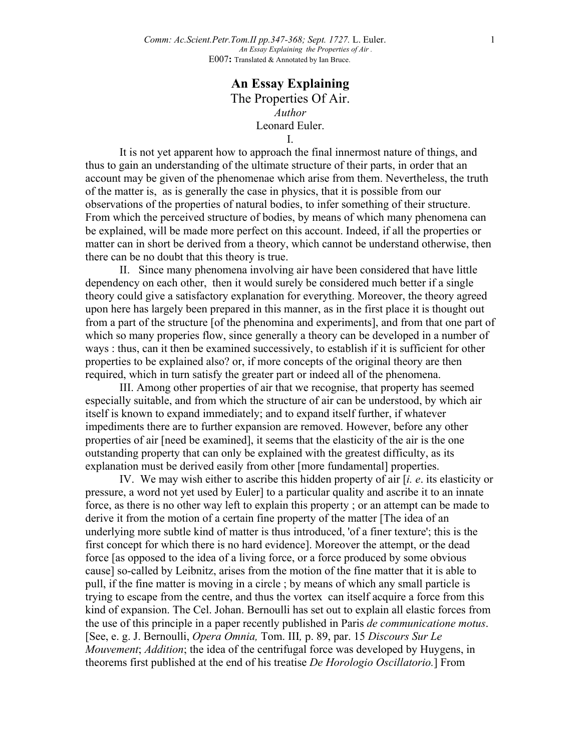## **An Essay Explaining** The Properties Of Air. *Author* Leonard Euler. I.

It is not yet apparent how to approach the final innermost nature of things, and thus to gain an understanding of the ultimate structure of their parts, in order that an account may be given of the phenomenae which arise from them. Nevertheless, the truth of the matter is, as is generally the case in physics, that it is possible from our observations of the properties of natural bodies, to infer something of their structure. From which the perceived structure of bodies, by means of which many phenomena can be explained, will be made more perfect on this account. Indeed, if all the properties or matter can in short be derived from a theory, which cannot be understand otherwise, then there can be no doubt that this theory is true.

II. Since many phenomena involving air have been considered that have little dependency on each other, then it would surely be considered much better if a single theory could give a satisfactory explanation for everything. Moreover, the theory agreed upon here has largely been prepared in this manner, as in the first place it is thought out from a part of the structure [of the phenomina and experiments], and from that one part of which so many properies flow, since generally a theory can be developed in a number of ways : thus, can it then be examined successively, to establish if it is sufficient for other properties to be explained also? or, if more concepts of the original theory are then required, which in turn satisfy the greater part or indeed all of the phenomena.

III. Among other properties of air that we recognise, that property has seemed especially suitable, and from which the structure of air can be understood, by which air itself is known to expand immediately; and to expand itself further, if whatever impediments there are to further expansion are removed. However, before any other properties of air [need be examined], it seems that the elasticity of the air is the one outstanding property that can only be explained with the greatest difficulty, as its explanation must be derived easily from other [more fundamental] properties.

IV. We may wish either to ascribe this hidden property of air [*i. e*. its elasticity or pressure, a word not yet used by Euler] to a particular quality and ascribe it to an innate force, as there is no other way left to explain this property ; or an attempt can be made to derive it from the motion of a certain fine property of the matter [The idea of an underlying more subtle kind of matter is thus introduced, 'of a finer texture'; this is the first concept for which there is no hard evidence]. Moreover the attempt, or the dead force [as opposed to the idea of a living force, or a force produced by some obvious cause] so-called by Leibnitz, arises from the motion of the fine matter that it is able to pull, if the fine matter is moving in a circle ; by means of which any small particle is trying to escape from the centre, and thus the vortex can itself acquire a force from this kind of expansion. The Cel. Johan. Bernoulli has set out to explain all elastic forces from the use of this principle in a paper recently published in Paris *de communicatione motus*. [See, e. g. J. Bernoulli, *Opera Omnia,* Tom. III*,* p. 89, par. 15 *Discours Sur Le Mouvement*; *Addition*; the idea of the centrifugal force was developed by Huygens, in theorems first published at the end of his treatise *De Horologio Oscillatorio.*] From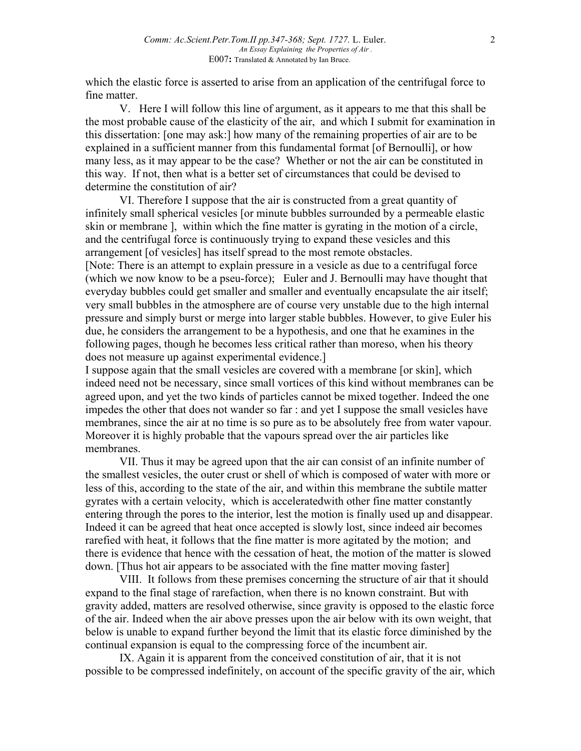which the elastic force is asserted to arise from an application of the centrifugal force to fine matter.

V. Here I will follow this line of argument, as it appears to me that this shall be the most probable cause of the elasticity of the air, and which I submit for examination in this dissertation: [one may ask:] how many of the remaining properties of air are to be explained in a sufficient manner from this fundamental format [of Bernoulli], or how many less, as it may appear to be the case? Whether or not the air can be constituted in this way. If not, then what is a better set of circumstances that could be devised to determine the constitution of air?

VI. Therefore I suppose that the air is constructed from a great quantity of infinitely small spherical vesicles [or minute bubbles surrounded by a permeable elastic skin or membrane ], within which the fine matter is gyrating in the motion of a circle, and the centrifugal force is continuously trying to expand these vesicles and this arrangement [of vesicles] has itself spread to the most remote obstacles.

[Note: There is an attempt to explain pressure in a vesicle as due to a centrifugal force (which we now know to be a pseu-force); Euler and J. Bernoulli may have thought that everyday bubbles could get smaller and smaller and eventually encapsulate the air itself; very small bubbles in the atmosphere are of course very unstable due to the high internal pressure and simply burst or merge into larger stable bubbles. However, to give Euler his due, he considers the arrangement to be a hypothesis, and one that he examines in the following pages, though he becomes less critical rather than moreso, when his theory does not measure up against experimental evidence.]

I suppose again that the small vesicles are covered with a membrane [or skin], which indeed need not be necessary, since small vortices of this kind without membranes can be agreed upon, and yet the two kinds of particles cannot be mixed together. Indeed the one impedes the other that does not wander so far : and yet I suppose the small vesicles have membranes, since the air at no time is so pure as to be absolutely free from water vapour. Moreover it is highly probable that the vapours spread over the air particles like membranes.

VII. Thus it may be agreed upon that the air can consist of an infinite number of the smallest vesicles, the outer crust or shell of which is composed of water with more or less of this, according to the state of the air, and within this membrane the subtile matter gyrates with a certain velocity, which is acceleratedwith other fine matter constantly entering through the pores to the interior, lest the motion is finally used up and disappear. Indeed it can be agreed that heat once accepted is slowly lost, since indeed air becomes rarefied with heat, it follows that the fine matter is more agitated by the motion; and there is evidence that hence with the cessation of heat, the motion of the matter is slowed down. [Thus hot air appears to be associated with the fine matter moving faster]

VIII. It follows from these premises concerning the structure of air that it should expand to the final stage of rarefaction, when there is no known constraint. But with gravity added, matters are resolved otherwise, since gravity is opposed to the elastic force of the air. Indeed when the air above presses upon the air below with its own weight, that below is unable to expand further beyond the limit that its elastic force diminished by the continual expansion is equal to the compressing force of the incumbent air.

IX. Again it is apparent from the conceived constitution of air, that it is not possible to be compressed indefinitely, on account of the specific gravity of the air, which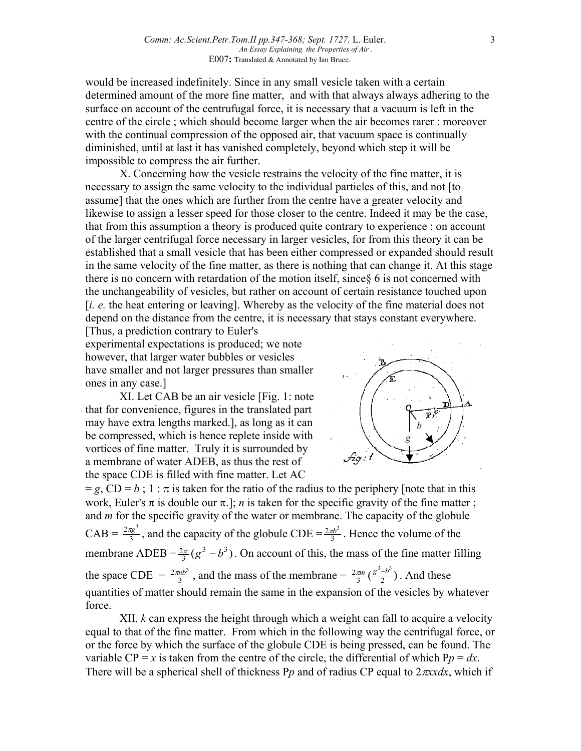would be increased indefinitely. Since in any small vesicle taken with a certain determined amount of the more fine matter, and with that always always adhering to the surface on account of the centrufugal force, it is necessary that a vacuum is left in the centre of the circle ; which should become larger when the air becomes rarer : moreover with the continual compression of the opposed air, that vacuum space is continually diminished, until at last it has vanished completely, beyond which step it will be impossible to compress the air further.

X. Concerning how the vesicle restrains the velocity of the fine matter, it is necessary to assign the same velocity to the individual particles of this, and not [to assume] that the ones which are further from the centre have a greater velocity and likewise to assign a lesser speed for those closer to the centre. Indeed it may be the case, that from this assumption a theory is produced quite contrary to experience : on account of the larger centrifugal force necessary in larger vesicles, for from this theory it can be established that a small vesicle that has been either compressed or expanded should result in the same velocity of the fine matter, as there is nothing that can change it. At this stage there is no concern with retardation of the motion itself, since§ 6 is not concerned with the unchangeability of vesicles, but rather on account of certain resistance touched upon [*i. e.* the heat entering or leaving]. Whereby as the velocity of the fine material does not depend on the distance from the centre, it is necessary that stays constant everywhere.

[Thus, a prediction contrary to Euler's experimental expectations is produced; we note however, that larger water bubbles or vesicles have smaller and not larger pressures than smaller ones in any case.]

XI. Let CAB be an air vesicle [Fig. 1: note that for convenience, figures in the translated part may have extra lengths marked.], as long as it can be compressed, which is hence replete inside with vortices of fine matter. Truly it is surrounded by a membrane of water ADEB, as thus the rest of the space CDE is filled with fine matter. Let AC



 $= g$ , CD = *b*; 1 :  $\pi$  is taken for the ratio of the radius to the periphery [note that in this work, Euler's  $\pi$  is double our  $\pi$ .]; *n* is taken for the specific gravity of the fine matter; and *m* for the specific gravity of the water or membrane. The capacity of the globule  $CAB = \frac{2\pi g^3}{3}$ , and the capacity of the globule  $CDE = \frac{2\pi b^3}{3}$ . Hence the volume of the membrane ADEB =  $\frac{2\pi}{3}$  ( $g^3 - b^3$ ). On account of this, the mass of the fine matter filling the space CDE =  $\frac{2\pi nb^3}{3}$ , and the mass of the membrane =  $\frac{2\pi m}{3}(\frac{g^3-b^3}{2})$ . And these quantities of matter should remain the same in the expansion of the vesicles by whatever force.

XII. *k* can express the height through which a weight can fall to acquire a velocity equal to that of the fine matter. From which in the following way the centrifugal force, or or the force by which the surface of the globule CDE is being pressed, can be found. The variable  $CP = x$  is taken from the centre of the circle, the differential of which  $Pp = dx$ . There will be a spherical shell of thickness P*p* and of radius CP equal to 2π*xxdx*, which if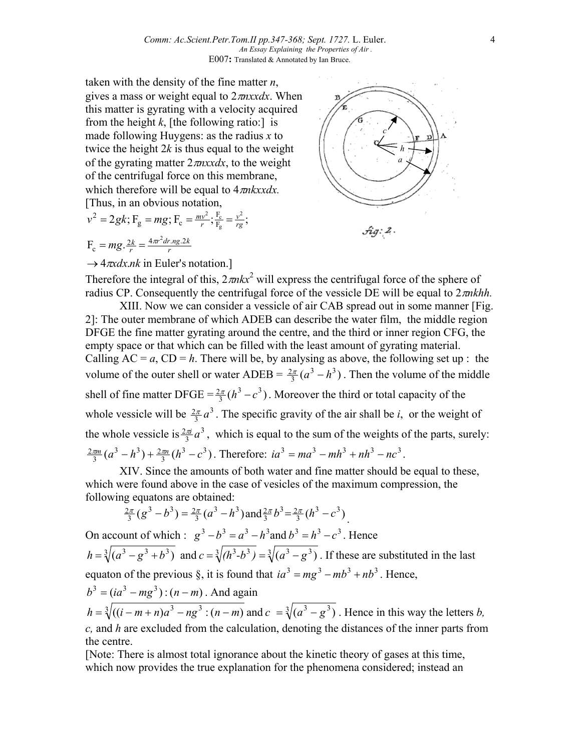taken with the density of the fine matter *n*, gives a mass or weight equal to 2π*nxxdx*. When this matter is gyrating with a velocity acquired from the height  $k$ , [the following ratio:] is made following Huygens: as the radius *x* to twice the height 2*k* is thus equal to the weight of the gyrating matter 2π*nxxdx*, to the weight of the centrifugal force on this membrane, which therefore will be equal to 4π*nkxxdx.* [Thus, in an obvious notation,

$$
v^2 = 2gk
$$
;  $F_g = mg$ ;  $F_c = \frac{mv^2}{r}$ ;  $\frac{F_c}{F_g} = \frac{v^2}{rg}$ ;   
 $F_c = mg$ .  $\frac{2k}{r} = \frac{4\pi r^2 dr \cdot mg \cdot 2k}{r}$ 



→  $4\pi x dx.nk$  in Euler's notation.]

Therefore the integral of this,  $2\pi n kx^2$  will express the centrifugal force of the sphere of radius CP. Consequently the centrifugal force of the vessicle DE will be equal to 2π*nkhh.*

XIII. Now we can consider a vessicle of air CAB spread out in some manner [Fig. 2]: The outer membrane of which ADEB can describe the water film, the middle region DFGE the fine matter gyrating around the centre, and the third or inner region CFG, the empty space or that which can be filled with the least amount of gyrating material. Calling  $AC = a$ ,  $CD = h$ . There will be, by analysing as above, the following set up : the volume of the outer shell or water ADEB =  $\frac{2\pi}{3} (a^3 - h^3)$ . Then the volume of the middle shell of fine matter DFGE =  $\frac{2\pi}{3}$  ( $h^3 - c^3$ ). Moreover the third or total capacity of the whole vessicle will be  $\frac{2\pi}{3}a^3$ . The specific gravity of the air shall be *i*, or the weight of the whole vessicle is  $\frac{2\pi i}{3} a^3$ , which is equal to the sum of the weights of the parts, surely:  $(a^3 - h^3) + \frac{2\pi n}{3} (h^3 - c^3)$  $3(h^3) + 2$  $\frac{2\pi m}{3}(a^3 - h^3) + \frac{2\pi n}{3}(h^3 - c^3)$ . Therefore:  $ia^3 = ma^3 - mh^3 + nh^3 - nc^3$ .

XIV. Since the amounts of both water and fine matter should be equal to these, which were found above in the case of vesicles of the maximum compression, the following equatons are obtained:

$$
\frac{2\pi}{3}(g^3-b^3)=\frac{2\pi}{3}(a^3-b^3)\text{ and }\frac{2\pi}{3}b^3=\frac{2\pi}{3}(h^3-c^3).
$$

On account of which :  $g^3 - b^3 = a^3 - h^3$  and  $b^3 = h^3 - c^3$ . Hence  $h = \sqrt[3]{(a^3 - g^3 + b^3)}$  and  $c = \sqrt[3]{(h^3 - b^3)} = \sqrt[3]{(a^3 - g^3)}$ . If these are substituted in the last equaton of the previous §, it is found that  $ia^3 = mg^3 - mb^3 + nb^3$ . Hence,

$$
b^3 = (ia^3 - mg^3) : (n - m)
$$
. And again

 $h = \sqrt[3]{((i - m + n)a^3 - ng^3 : (n - m)}$  and  $c = \sqrt[3]{(a^3 - g^3)}$ . Hence in this way the letters *b*, *c,* and *h* are excluded from the calculation, denoting the distances of the inner parts from the centre.

[Note: There is almost total ignorance about the kinetic theory of gases at this time, which now provides the true explanation for the phenomena considered; instead an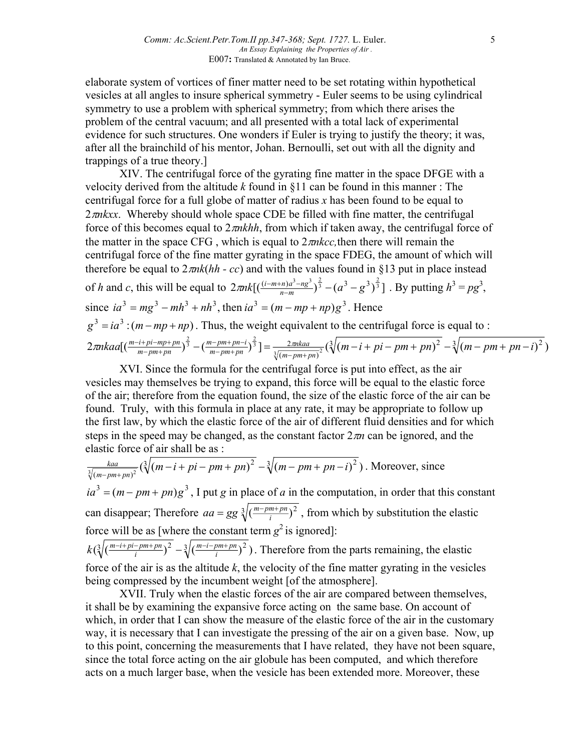elaborate system of vortices of finer matter need to be set rotating within hypothetical vesicles at all angles to insure spherical symmetry - Euler seems to be using cylindrical symmetry to use a problem with spherical symmetry; from which there arises the problem of the central vacuum; and all presented with a total lack of experimental evidence for such structures. One wonders if Euler is trying to justify the theory; it was, after all the brainchild of his mentor, Johan. Bernoulli, set out with all the dignity and trappings of a true theory.]

XIV. The centrifugal force of the gyrating fine matter in the space DFGE with a velocity derived from the altitude *k* found in §11 can be found in this manner : The centrifugal force for a full globe of matter of radius *x* has been found to be equal to 2π*nkxx*. Whereby should whole space CDE be filled with fine matter, the centrifugal force of this becomes equal to 2π*nkhh*, from which if taken away, the centrifugal force of the matter in the space CFG , which is equal to 2π*nkcc,*then there will remain the centrifugal force of the fine matter gyrating in the space FDEG, the amount of which will therefore be equal to  $2\pi n k(hh - cc)$  and with the values found in §13 put in place instead of h and c, this will be equal to  $2\pi nk \left[ \left( \frac{(i-m+n)a^3-ng^3}{n-m} \right)^{\frac{2}{3}} - \left( a^3 - g^3 \right)^{\frac{2}{3}} \right]$ . By putting  $h^3 = pg^3$ ,  $\sin \alpha^3 = mg^3 - mh^3 + nh^3$ , then  $ia^3 = (m - mp + np)g^3$ . Hence  $g^3 = ia^3$ :  $(m - mp + np)$ . Thus, the weight equivalent to the centrifugal force is equal to :  $2\pi nkaa[(\frac{m-i+pi-mp+pn}{m-pm+pn})^{\frac{2}{3}}-(\frac{m-pm+pn-i}{m-pm+pn})^{\frac{2}{3}}]=\frac{2\pi nkaa}{\sqrt[3]{(m-pm+pn)^2}}(\sqrt[3]{(m-i+pi-pm+pn)^2}-\sqrt[3]{(m-pm+pn-i)^2})$ 2  $\frac{1}{2} \cdot \left( \frac{m - i + pi - mp + pn}{m - pm + pn} \right)^{\frac{2}{3}} - \left( \frac{m - pm + pn - i}{m - pm + pn} \right)^{\frac{2}{3}} \left[ \frac{2 \cdot mkaa}{\sqrt{(m - p m + pn)^2}} \left( \sqrt[3]{(m - i + pi - pm + pn)^2} - \sqrt[3]{(m - pm + pn - i)} \right]$ *m pm pn m pm pn i*  $\frac{m-i+pi-mp+pn}{m-pm+pn}$  $\Big(\frac{m-pm+pn-i}{m-pm+pn}\Big)^{\frac{2}{3}}\Big] = \frac{2\pi nkaa}{\sqrt[3]{(m-pm+pn)^2}} \left(\sqrt[3]{(m-i+pi-pm+pn)^2} - \sqrt[3]{(m-pm+pn+pn)^2} \right)$  $\pi nkaa\left[\left(\frac{m-i+pi-mp+pn}{m-pm+pn}\right)^{\frac{2}{3}}-\left(\frac{m-pm+pn-i}{m-pm+pn}\right)^{\frac{2}{3}}\right]=\frac{2\pi}{\sqrt{m-n}}$ 

XVI. Since the formula for the centrifugal force is put into effect, as the air vesicles may themselves be trying to expand, this force will be equal to the elastic force of the air; therefore from the equation found, the size of the elastic force of the air can be found. Truly, with this formula in place at any rate, it may be appropriate to follow up the first law, by which the elastic force of the air of different fluid densities and for which steps in the speed may be changed, as the constant factor  $2\pi n$  can be ignored, and the elastic force of air shall be as :

$$
\frac{kaa}{\sqrt[3]{(m-pm+pn)^2}} \left( \sqrt[3]{(m-i+pi-pm+pn)^2} - \sqrt[3]{(m-pm+pn-i)^2} \right)
$$
. Moreover, since  
\n
$$
ia^3 = (m-pm+pn)g^3
$$
, I put g in place of a in the computation, in order that this constant  
\ncan disappear: Therefore  $aa = \frac{g}{\sqrt[3]{(\frac{m-pm+pn}{n})^2}}$ , from which by substitution the elastic

can disappear; Therefore  $aa = gg \sqrt[3]{(\frac{m-pm+p}{i})^2}$ , from which by substitution the elastic force will be as [where the constant term  $g^2$  is ignored]:

 $\left(\sqrt[3]{\left(\frac{m-i+pi-pm+pn}{i}\right)^2 - \sqrt[3]{\left(\frac{m-i-pm+pn}{i}\right)^2}}\right)$ *m i pm pn*  $k(\sqrt[3]{(\frac{m-i+pi-pm+pn}{i})^2} - \sqrt[3]{(\frac{m-i-pm+pn}{i})^2})$ . Therefore from the parts remaining, the elastic force of the air is as the altitude *k*, the velocity of the fine matter gyrating in the vesicles being compressed by the incumbent weight [of the atmosphere].

XVII. Truly when the elastic forces of the air are compared between themselves, it shall be by examining the expansive force acting on the same base. On account of which, in order that I can show the measure of the elastic force of the air in the customary way, it is necessary that I can investigate the pressing of the air on a given base. Now, up to this point, concerning the measurements that I have related, they have not been square, since the total force acting on the air globule has been computed, and which therefore acts on a much larger base, when the vesicle has been extended more. Moreover, these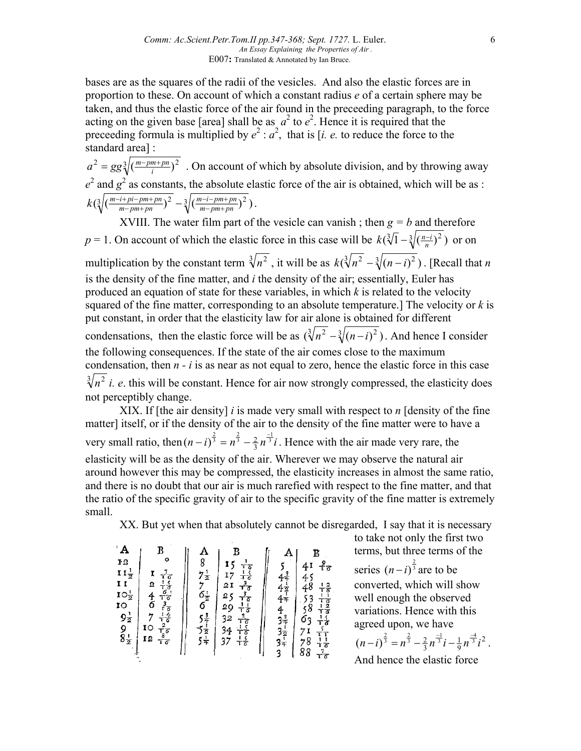bases are as the squares of the radii of the vesicles. And also the elastic forces are in proportion to these. On account of which a constant radius *e* of a certain sphere may be taken, and thus the elastic force of the air found in the preceeding paragraph, to the force acting on the given base [area] shall be as  $a^2$  to  $e^2$ . Hence it is required that the preceeding formula is multiplied by  $e^2$  :  $a^2$ , that is [*i. e.* to reduce the force to the standard area] :

 $a^2 = gg\sqrt[3]{(\frac{m-pm+p_n}{i})^2}$ . On account of which by absolute division, and by throwing away  $e^2$  and  $g^2$  as constants, the absolute elastic force of the air is obtained, which will be as :  $\left(\sqrt[3]{\left(\frac{m-i+pi-pm+pn}{m-pm+pn}\right)^2} - \sqrt[3]{\left(\frac{m-i-pm+pn}{m-pm+pn}\right)^2}\right)$ *m i pm pn*  $k(\sqrt[3]{(\frac{m-i+pi-pm+pn}{m-pm+pn})^2} - \sqrt[3]{(\frac{m-i-pm+1}{m-pm+1})^2}$  $\frac{-i + pi - pm + pn}{m - pm + pn}$  $\Big)^2 - \sqrt[3]{\big(\frac{m - i - pm + pn}{m - pm + pn}\big)^2}$ .

XVIII. The water film part of the vesicle can vanish; then  $g = b$  and therefore *p* = 1. On account of which the elastic force in this case will be  $k(\sqrt[3]{1} - \sqrt[3]{(\frac{n-i}{n})^2})$  or on multiplication by the constant term  $\sqrt[3]{n^2}$ , it will be as  $k(\sqrt[3]{n^2} - \sqrt[3]{(n-i)^2})$ . [Recall that *n* is the density of the fine matter, and *i* the density of the air; essentially, Euler has produced an equation of state for these variables, in which *k* is related to the velocity squared of the fine matter, corresponding to an absolute temperature.] The velocity or *k* is put constant, in order that the elasticity law for air alone is obtained for different condensations, then the elastic force will be as  $(\sqrt[3]{n^2} - \sqrt[3]{(n-i)^2})$ . And hence I consider the following consequences. If the state of the air comes close to the maximum condensation, then *n - i* is as near as not equal to zero, hence the elastic force in this case  $\sqrt[3]{n^2}$  *i. e.* this will be constant. Hence for air now strongly compressed, the elasticity does not perceptibly change.

XIX. If [the air density] *i* is made very small with respect to *n* [density of the fine matter] itself, or if the density of the air to the density of the fine matter were to have a very small ratio, then  $(n - i)^{\frac{2}{3}} = n^{\frac{2}{3}} - \frac{2}{3}n^{\frac{-1}{3}}i$  $(n - i)^{\frac{2}{3}} = n^{\frac{2}{3}} - \frac{2}{3}n^{\frac{-1}{3}}i$ . Hence with the air made very rare, the elasticity will be as the density of the air. Wherever we may observe the natural air around however this may be compressed, the elasticity increases in almost the same ratio, and there is no doubt that our air is much rarefied with respect to the fine matter, and that the ratio of the specific gravity of air to the specific gravity of the fine matter is extremely small.

XX. But yet when that absolutely cannot be disregarded. I say that it is necessary

| $A$<br>$P12$<br>$\begin{array}{c}\n\mathbf{I} \mathbf{I} \frac{1}{2} \\ \mathbf{I} \mathbf{I} \\ \mathbf{IO} \frac{1}{2} \\ \mathbf{IO} \mathbf{O} \frac{1}{2} \\ \mathbf{O} \mathbf{I} \mathbf{O} \mathbf{I} \frac{1}{2} \\ \mathbf{I} \mathbf{I} \mathbf{I} \mathbf{I} \mathbf{I} \mathbf{I} \frac{1}{2} \\ \mathbf{I} \mathbf{I} \mathbf{I} \mathbf{I} \mathbf{I} \mathbf{I} \mathbf{I} \mathbf{I} \frac{1}{2} \\ \mathbf{I} \mathbf{I} \$<br>10<br>12 | B<br>o<br>$\frac{1}{16} \frac{1}{6} \frac{1}{16} \frac{1}{16} \frac{1}{16} \frac{1}{16} \frac{1}{16} \frac{1}{16} \frac{1}{16} \frac{1}{16} \frac{1}{16} \frac{1}{16} \frac{1}{16} \frac{1}{16} \frac{1}{16} \frac{1}{16} \frac{1}{16} \frac{1}{16} \frac{1}{16} \frac{1}{16} \frac{1}{16} \frac{1}{16} \frac{1}{16} \frac{1}{16} \frac{1}{16} \frac{1}{16} \frac{1}{16} \frac{1}{$<br>$\overline{2}$<br>46<br>7 | $\begin{smallmatrix} \mathbf{A}\ 8\ 7\frac{1}{2} \end{smallmatrix}$<br>$762$<br>$653$<br>$531$<br>$531$ | $\frac{1}{1} \frac{1}{3} \frac{1}{3} \frac{1}{6} \frac{3}{3} \frac{3}{6} \frac{1}{1} \frac{3}{6} \frac{1}{3} \frac{1}{6} \frac{1}{3} \frac{1}{6} \frac{1}{3} \frac{1}{6} \frac{1}{3} \frac{1}{6} \frac{1}{3} \frac{1}{6} \frac{1}{3} \frac{1}{6} \frac{1}{3} \frac{1}{6} \frac{1}{3} \frac{1}{6} \frac{1}{3} \frac{1}{6} \frac{1}{3} \frac{1}{6} \frac{1}{3} \frac{1}{6} \frac{1}{3} \frac{$<br>$\frac{15}{17}$<br>21<br>25<br>25<br>29<br>32<br>34<br>37 |  | $4444$<br>$4437$<br>$3337$<br><br><br><br><br><br><br><br><br><br><br><br><br><br><br><br><br><br><br><br> | в<br>$\frac{9}{16}$<br>41<br>45<br>$48$<br>538<br>58<br>53<br><u>ーマーマーマーマーマーマーマーマーマーマーマーマーマーマーマーマー</u><br>71888 |
|-----------------------------------------------------------------------------------------------------------------------------------------------------------------------------------------------------------------------------------------------------------------------------------------------------------------------------------------------------------------------------------------------------------------------------------------------------------|------------------------------------------------------------------------------------------------------------------------------------------------------------------------------------------------------------------------------------------------------------------------------------------------------------------------------------------------------------------------------------------------------------------|---------------------------------------------------------------------------------------------------------|-----------------------------------------------------------------------------------------------------------------------------------------------------------------------------------------------------------------------------------------------------------------------------------------------------------------------------------------------------------------------------------------------------------------------------------------------------------|--|------------------------------------------------------------------------------------------------------------|-----------------------------------------------------------------------------------------------------------------|
|-----------------------------------------------------------------------------------------------------------------------------------------------------------------------------------------------------------------------------------------------------------------------------------------------------------------------------------------------------------------------------------------------------------------------------------------------------------|------------------------------------------------------------------------------------------------------------------------------------------------------------------------------------------------------------------------------------------------------------------------------------------------------------------------------------------------------------------------------------------------------------------|---------------------------------------------------------------------------------------------------------|-----------------------------------------------------------------------------------------------------------------------------------------------------------------------------------------------------------------------------------------------------------------------------------------------------------------------------------------------------------------------------------------------------------------------------------------------------------|--|------------------------------------------------------------------------------------------------------------|-----------------------------------------------------------------------------------------------------------------|

to take not only the first two terms, but three terms of the series  $(n-i)^{\frac{2}{3}}$  are to be converted, which will show well enough the observed variations. Hence with this agreed upon, we have 2 1  $(n-i)^{\frac{2}{3}} = n^{\frac{2}{3}} - \frac{2}{3}n^{\frac{-1}{3}}i - \frac{1}{9}n^{\frac{-4}{3}}i^2$ .

9 3 And hence the elastic force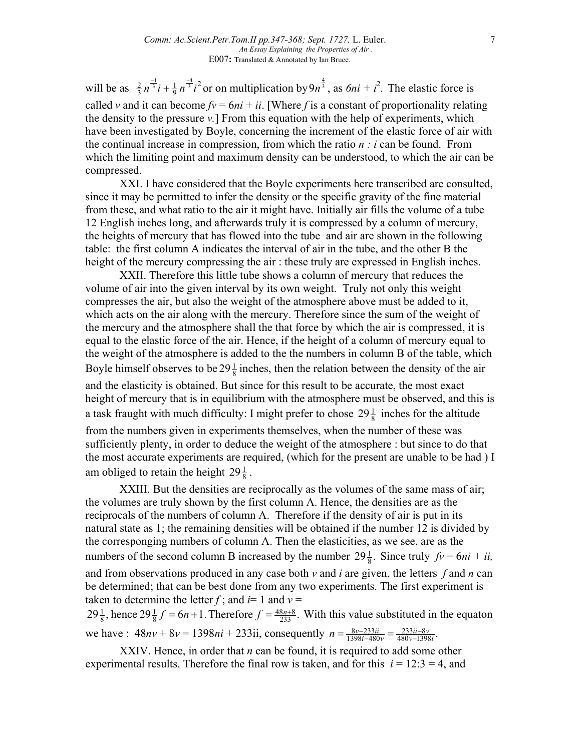will be as  $\frac{2}{3}n^{\frac{-1}{3}}i + \frac{1}{9}n^{\frac{-4}{3}}i^2$  or on multiplication by  $9n^{\frac{4}{3}}$ , as  $6ni + i^2$ . The elastic force is called *v* and it can become  $fv = 6ni + ii$ . [Where *f* is a constant of proportionality relating the density to the pressure *v.*] From this equation with the help of experiments, which have been investigated by Boyle, concerning the increment of the elastic force of air with the continual increase in compression, from which the ratio *n : i* can be found. From which the limiting point and maximum density can be understood, to which the air can be compressed.

XXI. I have considered that the Boyle experiments here transcribed are consulted, since it may be permitted to infer the density or the specific gravity of the fine material from these, and what ratio to the air it might have. Initially air fills the volume of a tube 12 English inches long, and afterwards truly it is compressed by a column of mercury, the heights of mercury that has flowed into the tube and air are shown in the following table: the first column A indicates the interval of air in the tube, and the other B the height of the mercury compressing the air : these truly are expressed in English inches.

XXII. Therefore this little tube shows a column of mercury that reduces the volume of air into the given interval by its own weight. Truly not only this weight compresses the air, but also the weight of the atmosphere above must be added to it, which acts on the air along with the mercury. Therefore since the sum of the weight of the mercury and the atmosphere shall the that force by which the air is compressed, it is equal to the elastic force of the air. Hence, if the height of a column of mercury equal to the weight of the atmosphere is added to the the numbers in column B of the table, which Boyle himself observes to be  $29\frac{1}{8}$  inches, then the relation between the density of the air and the elasticity is obtained. But since for this result to be accurate, the most exact height of mercury that is in equilibrium with the atmosphere must be observed, and this is

a task fraught with much difficulty: I might prefer to chose  $29\frac{1}{8}$  inches for the altitude from the numbers given in experiments themselves, when the number of these was sufficiently plenty, in order to deduce the weight of the atmosphere : but since to do that the most accurate experiments are required, (which for the present are unable to be had ) I am obliged to retain the height  $29\frac{1}{8}$ .

XXIII. But the densities are reciprocally as the volumes of the same mass of air; the volumes are truly shown by the first column A. Hence, the densities are as the reciprocals of the numbers of column A. Therefore if the density of air is put in its natural state as 1; the remaining densities will be obtained if the number 12 is divided by the corresponging numbers of column A. Then the elasticities, as we see, are as the numbers of the second column B increased by the number  $29\frac{1}{8}$ . Since truly  $fv = 6ni + ii$ , and from observations produced in any case both *v* and *i* are given, the letters *f* and *n* can be determined; that can be best done from any two experiments. The first experiment is taken to determine the letter  $f$ ; and  $i=1$  and  $v=$  $29\frac{1}{8}$ , hence  $29\frac{1}{8}f = 6n + 1$ . Therefore  $f = \frac{48n+8}{233}$ . 8 1  $\frac{1}{8}$ , hence  $29\frac{1}{8}f = 6n + 1$ . Therefore  $f = \frac{48n+8}{233}$ . With this value substituted in the equaton

we have :  $48nv + 8v = 1398ni + 233ii$ , consequently  $n = \frac{8v - 233ii}{1398i - 480v} = \frac{233ii - 8v}{480v - 1398i}$ .  $1398 i - 480$  $8v - 233$ *v i ii v*  $n = \frac{8v - 233ii}{1398i - 480v} = \frac{233ii - 480v}{480v - 13}$  $=\frac{8v-233ii}{1398i-480v}$ 

XXIV. Hence, in order that *n* can be found, it is required to add some other experimental results. Therefore the final row is taken, and for this  $i = 12:3 = 4$ , and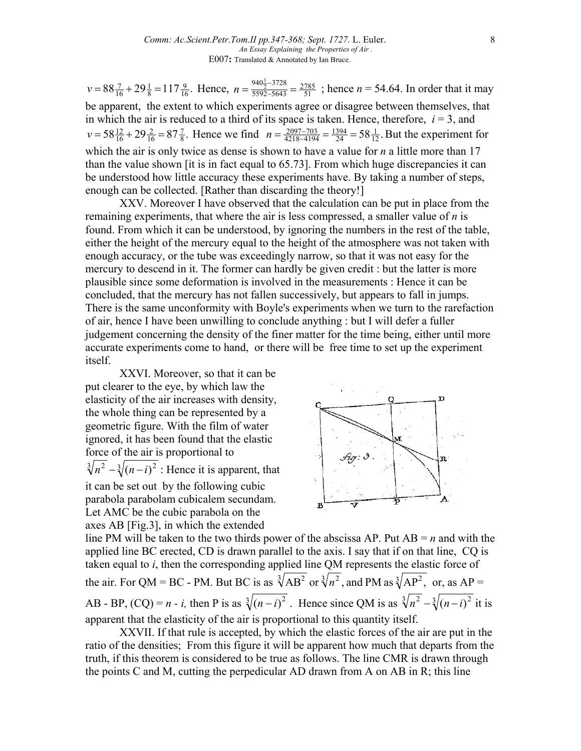$88\frac{7}{16} + 29\frac{1}{8} = 117\frac{9}{16}$ . 8 1  $v = 88\frac{7}{16} + 29\frac{1}{8} = 117\frac{9}{16}$ . Hence,  $n = \frac{940\frac{1}{2} - 3728}{5592 - 5643} = \frac{2785}{51}$ 5592 5643  $n = \frac{940 \frac{1}{2} - 3728}{5592 - 5643} = \frac{2785}{51}$ ; hence  $n = 54.64$ . In order that it may be apparent, the extent to which experiments agree or disagree between themselves, that in which the air is reduced to a third of its space is taken. Hence, therefore,  $i = 3$ , and  $58\frac{12}{16} + 29\frac{2}{16} = 87\frac{7}{8}$ . 16 2  $v = 58\frac{12}{16} + 29\frac{2}{16} = 87\frac{7}{8}$ . Hence we find  $n = \frac{2097 - 703}{4218 - 4194} = \frac{1394}{24} = 58\frac{1}{12}$ . 24 1394  $n = \frac{2097 - 703}{4218 - 4194} = \frac{1394}{24} = 58 \frac{1}{12}$ . But the experiment for which the air is only twice as dense is shown to have a value for *n* a little more than 17 than the value shown [it is in fact equal to 65.73]. From which huge discrepancies it can be understood how little accuracy these experiments have. By taking a number of steps, enough can be collected. [Rather than discarding the theory!]

XXV. Moreover I have observed that the calculation can be put in place from the remaining experiments, that where the air is less compressed, a smaller value of *n* is found. From which it can be understood, by ignoring the numbers in the rest of the table, either the height of the mercury equal to the height of the atmosphere was not taken with enough accuracy, or the tube was exceedingly narrow, so that it was not easy for the mercury to descend in it. The former can hardly be given credit : but the latter is more plausible since some deformation is involved in the measurements : Hence it can be concluded, that the mercury has not fallen successively, but appears to fall in jumps. There is the same unconformity with Boyle's experiments when we turn to the rarefaction of air, hence I have been unwilling to conclude anything : but I will defer a fuller judgement concerning the density of the finer matter for the time being, either until more accurate experiments come to hand, or there will be free time to set up the experiment itself.

XXVI. Moreover, so that it can be put clearer to the eye, by which law the elasticity of the air increases with density, the whole thing can be represented by a geometric figure. With the film of water ignored, it has been found that the elastic force of the air is proportional to  $\sqrt[3]{n^2} - \sqrt[3]{(n-i)^2}$ : Hence it is apparent, that it can be set out by the following cubic parabola parabolam cubicalem secundam. Let AMC be the cubic parabola on the axes AB [Fig.3], in which the extended



line PM will be taken to the two thirds power of the abscissa AP. Put  $AB = n$  and with the applied line BC erected, CD is drawn parallel to the axis. I say that if on that line, CQ is taken equal to *i*, then the corresponding applied line QM represents the elastic force of the air. For QM = BC - PM. But BC is as  $\sqrt[3]{AB^2}$  or  $\sqrt[3]{n^2}$ , and PM as  $\sqrt[3]{AP^2}$ , or, as AP = AB - BP,  $(CQ) = n - i$ , then P is as  $\sqrt[3]{(n-i)^2}$ . Hence since QM is as  $\sqrt[3]{n^2} - \sqrt[3]{(n-i)^2}$  it is apparent that the elasticity of the air is proportional to this quantity itself.

XXVII. If that rule is accepted, by which the elastic forces of the air are put in the ratio of the densities; From this figure it will be apparent how much that departs from the truth, if this theorem is considered to be true as follows. The line CMR is drawn through the points C and M, cutting the perpedicular AD drawn from A on AB in R; this line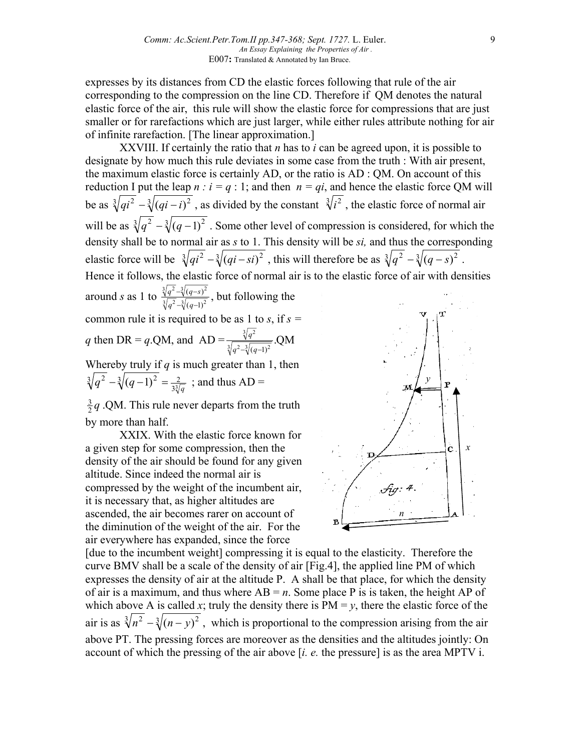expresses by its distances from CD the elastic forces following that rule of the air corresponding to the compression on the line CD. Therefore if QM denotes the natural elastic force of the air, this rule will show the elastic force for compressions that are just smaller or for rarefactions which are just larger, while either rules attribute nothing for air of infinite rarefaction. [The linear approximation.]

XXVIII. If certainly the ratio that *n* has to *i* can be agreed upon, it is possible to designate by how much this rule deviates in some case from the truth : With air present, the maximum elastic force is certainly AD, or the ratio is AD : QM. On account of this reduction I put the leap  $n : i = q : 1$ ; and then  $n = qi$ , and hence the elastic force QM will be as  $\sqrt[3]{qi^2} - \sqrt[3]{(qi - i)^2}$ , as divided by the constant  $\sqrt[3]{i^2}$ , the elastic force of normal air will be as  $\sqrt[3]{q^2} - \sqrt[3]{(q-1)^2}$ . Some other level of compression is considered, for which the density shall be to normal air as *s* to 1. This density will be *si,* and thus the corresponding elastic force will be  $\sqrt[3]{qi^2 - \sqrt[3]{(qi - si)^2}}$ , this will therefore be as  $\sqrt[3]{q^2 - \sqrt[3]{(q - s)^2}}$ . Hence it follows, the elastic force of normal air is to the elastic force of air with densities around *s* as 1 to  $\frac{\sqrt[3]{q^2 - \sqrt[3]{(q-s)^2}}}{\sqrt[3]{a^2 - \sqrt[3]{(a-1)^2}}}$  $(q-1)$  $(q-s)$  $-\sqrt[3]{(q -\sqrt[3]{(q \frac{q^2-\sqrt[3]{(q-s)^2}}{q^2-\sqrt[3]{(q-1)^2}}$ , but following the common rule it is required to be as 1 to *s*, if *s = q* then DR = *q*.QM, and AD =  $\frac{\sqrt[3]{q^2}}{\sqrt[3]{(q-1)^2}}$  QM  $q^2 - \sqrt[3]{(q-1)}$ *q*

Whereby truly if  $q$  is much greater than 1, then  $\sqrt[3]{q^2 - \sqrt[3]{(q-1)^2}} = \frac{2}{3\sqrt[3]{q}}$ ; and thus AD =

 $\frac{3}{2}q$  .QM. This rule never departs from the truth by more than half.

XXIX. With the elastic force known for a given step for some compression, then the density of the air should be found for any given altitude. Since indeed the normal air is compressed by the weight of the incumbent air, it is necessary that, as higher altitudes are ascended, the air becomes rarer on account of the diminution of the weight of the air. For the air everywhere has expanded, since the force



[due to the incumbent weight] compressing it is equal to the elasticity. Therefore the curve BMV shall be a scale of the density of air [Fig.4], the applied line PM of which expresses the density of air at the altitude P. A shall be that place, for which the density of air is a maximum, and thus where  $AB = n$ . Some place P is is taken, the height AP of which above A is called *x*; truly the density there is  $PM = y$ , there the elastic force of the air is as  $\sqrt[3]{n^2} - \sqrt[3]{(n-y)^2}$ , which is proportional to the compression arising from the air above PT. The pressing forces are moreover as the densities and the altitudes jointly: On account of which the pressing of the air above [*i. e.* the pressure] is as the area MPTV i.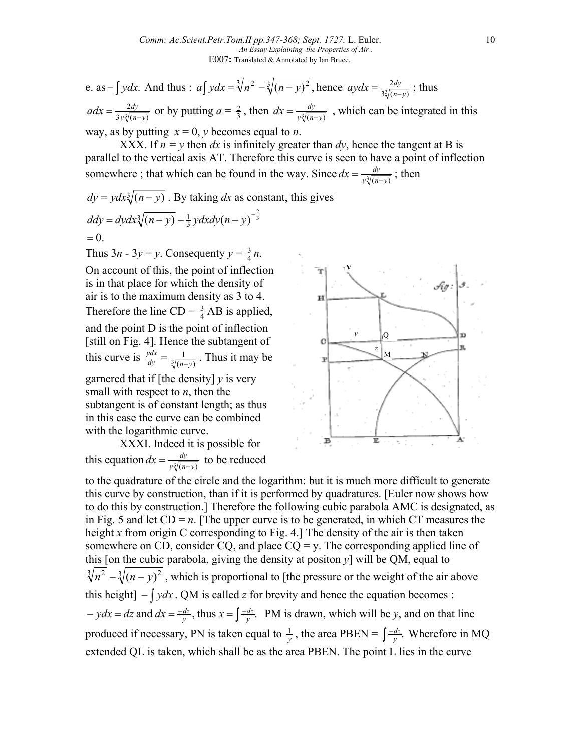e. as  $-\int ydx$ . And thus : *a* $\int ydx = \sqrt[3]{n^2 - \sqrt[3]{(n-y)^2}}$ , hence  $aydx = \frac{2dy}{3\sqrt[3]{(n-y)}}$  $aydx = \frac{2dy}{3\sqrt[3]{(n-y)}}$ ; thus  $3y\sqrt[3]{(n-y)}$ 2  $adx = \frac{2dy}{3y\sqrt[3]{(n-y)}}$  or by putting  $a = \frac{2}{3}$ , then  $dx = \frac{dy}{y\sqrt[3]{(n-y)}}$ , which can be integrated in this way, as by putting  $x = 0$ , *y* becomes equal to *n*.

XXX. If  $n = y$  then *dx* is infinitely greater than *dy*, hence the tangent at B is parallel to the vertical axis AT. Therefore this curve is seen to have a point of inflection somewhere ; that which can be found in the way. Since  $dx = \frac{dy}{y\sqrt[3]{(n-y)}}$ ; then

 $dy = y dx \sqrt[3]{(n-y)}$ . By taking *dx* as constant, this gives  $=0.$  $\frac{1}{(n-y)} - \frac{1}{3} y dx dy (n-y)^{-\frac{2}{3}}$  $ddy = dydx\sqrt[3]{(n-y)} - \frac{1}{3}ydx\frac{dy}{(n-y)}$ 

Thus  $3n - 3y = y$ . Consequenty  $y = \frac{3}{4}n$ . On account of this, the point of inflection is in that place for which the density of air is to the maximum density as 3 to 4. Therefore the line  $CD = \frac{3}{4} AB$  is applied, and the point D is the point of inflection [still on Fig. 4]. Hence the subtangent of this curve is  $\frac{ydx}{dy} = \frac{1}{\sqrt[3]{(n-y)}}$  $dy = \sqrt[3]{(n-y)}$  $\frac{ydx}{dy} = \frac{1}{\sqrt[3]{(n-y)}}$ . Thus it may be garnered that if [the density] *y* is very small with respect to *n*, then the subtangent is of constant length; as thus in this case the curve can be combined with the logarithmic curve.

XXXI. Indeed it is possible for this equation  $dx = \frac{dy}{y\sqrt[3]{(n-y)}}$  to be reduced



to the quadrature of the circle and the logarithm: but it is much more difficult to generate this curve by construction, than if it is performed by quadratures. [Euler now shows how to do this by construction.] Therefore the following cubic parabola AMC is designated, as in Fig. 5 and let  $CD = n$ . [The upper curve is to be generated, in which CT measures the height *x* from origin C corresponding to Fig. 4.] The density of the air is then taken somewhere on CD, consider CQ, and place  $CQ = y$ . The corresponding applied line of this [on the cubic parabola, giving the density at positon  $y$ ] will be QM, equal to  $\sqrt[3]{n^2} - \sqrt[3]{(n-y)^2}$ , which is proportional to [the pressure or the weight of the air above this height]  $-\int ydx$ . QM is called *z* for brevity and hence the equation becomes :  $-ydx = dz$  and  $dx = \frac{-dz}{y}$ , thus  $x = \int \frac{-dz}{y}$ .  $ydx = dz$  and  $dx = \frac{-dz}{y}$ , thus  $x = \int \frac{-dz}{y}$ . PM is drawn, which will be *y*, and on that line produced if necessary, PN is taken equal to  $\frac{1}{y}$ , the area PBEN =  $\int \frac{-dz}{y}$ .  $\frac{dz}{dy}$ . Wherefore in MQ extended QL is taken, which shall be as the area PBEN. The point L lies in the curve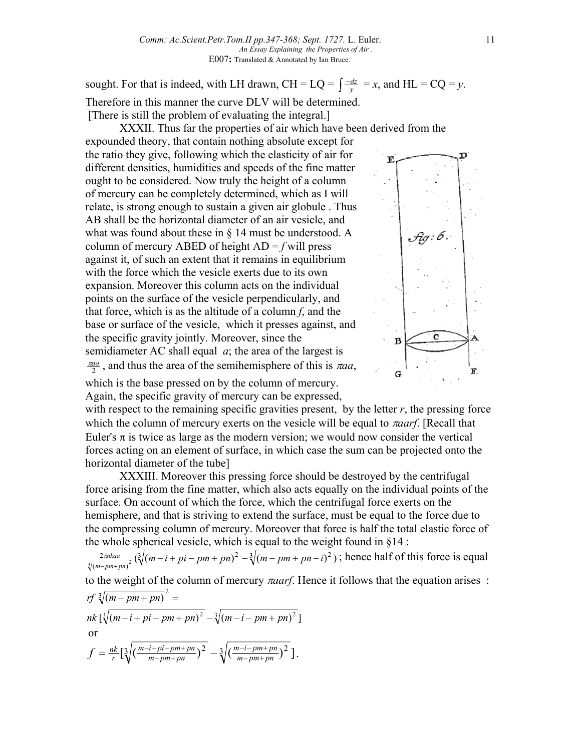sought. For that is indeed, with LH drawn, CH = LQ =  $\int \frac{-dz}{y} = x$ , and HL = CQ = *y*. Therefore in this manner the curve DLV will be determined. [There is still the problem of evaluating the integral.]

XXXII. Thus far the properties of air which have been derived from the expounded theory, that contain nothing absolute except for the ratio they give, following which the elasticity of air for different densities, humidities and speeds of the fine matter ought to be considered. Now truly the height of a column of mercury can be completely determined, which as I will relate, is strong enough to sustain a given air globule . Thus AB shall be the horizontal diameter of an air vesicle, and what was found about these in  $\S$  14 must be understood. A column of mercury ABED of height  $AD = f$  will press against it, of such an extent that it remains in equilibrium with the force which the vesicle exerts due to its own expansion. Moreover this column acts on the individual points on the surface of the vesicle perpendicularly, and that force, which is as the altitude of a column *f*, and the base or surface of the vesicle, which it presses against, and the specific gravity jointly. Moreover, since the semidiameter AC shall equal *a*; the area of the largest is  $\frac{\pi a}{2}$ , and thus the area of the semihemisphere of this is  $\pi a$ *a*,



which is the base pressed on by the column of mercury. Again, the specific gravity of mercury can be expressed,

with respect to the remaining specific gravities present, by the letter  $r$ , the pressing force which the column of mercury exerts on the vesicle will be equal to π*aarf*. [Recall that Euler's π is twice as large as the modern version; we would now consider the vertical forces acting on an element of surface, in which case the sum can be projected onto the horizontal diameter of the tube]

XXXIII. Moreover this pressing force should be destroyed by the centrifugal force arising from the fine matter, which also acts equally on the individual points of the surface. On account of which the force, which the centrifugal force exerts on the hemisphere, and that is striving to extend the surface, must be equal to the force due to the compressing column of mercury. Moreover that force is half the total elastic force of the whole spherical vesicle, which is equal to the weight found in  $§14$ :

$$
\frac{2\pi i k a a}{\sqrt[3]{(m-pm+p n)^2}} (\sqrt[3]{(m-i+p i-pm+p n)^2} - \sqrt[3]{(m-pm+p n-i)^2})
$$
; hence half of this force is equal

to the weight of the column of mercury π*aarf*. Hence it follows that the equation arises :  $\int$   $\int \sqrt[3]{(m-pm+pn)}^2$  =

nk 
$$
\left[\sqrt[3]{(m-i+pi-pm+pn)^2} - \sqrt[3]{(m-i-pm+pn)^2}\right]
$$
  
or  

$$
f = \frac{nk}{r} \left[\sqrt[3]{\left(\frac{m-i+pi-pm+pn}{m-pm+pn}\right)^2} - \sqrt[3]{\left(\frac{m-i-pm+pn}{m-pm+pn}\right)^2}\right].
$$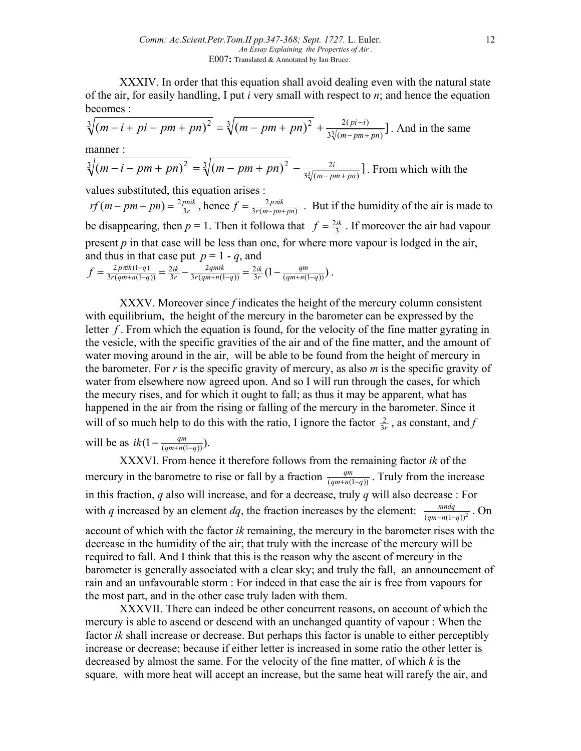XXXIV. In order that this equation shall avoid dealing even with the natural state of the air, for easily handling, I put *i* very small with respect to *n*; and hence the equation becomes :

$$
\sqrt[3]{(m-i+pi-pm+pn)^2} = \sqrt[3]{(m-pm+pn)^2} + \frac{2(pi-i)}{3\sqrt[3]{(m-pm+pn)}}.
$$
 And in the same

manner :

$$
\sqrt[3]{(m-i-pm+pn)^2} = \sqrt[3]{(m-pm+pn)^2} - \frac{2i}{3\sqrt[3]{(m-pm+pn)}}.
$$
 From which with the

values substituted, this equation arises :

 $3r(m-pn+pn)$ 2  $(m-pm+p n) = \frac{2 p n i k}{3 r}$ , hence  $f = \frac{2 p n i k}{3 r (m-pn+p n)}$ *rf*  $(m - pm + pn) = \frac{2pnik}{3r}$ , hence  $f = \frac{2p\pi k}{3r(m - pn + pn)}$ . But if the humidity of the air is made to be disappearing, then  $p = 1$ . Then it followa that  $f = \frac{2ik}{3}$ . If moreover the air had vapour present  $p$  in that case will be less than one, for where more vapour is lodged in the air, and thus in that case put  $p = 1 - q$ , and

$$
f = \frac{2 \, p \pi k (1-q)}{3r(qm+n(1-q))} = \frac{2ik}{3r} - \frac{2qmik}{3r(qm+n(1-q))} = \frac{2ik}{3r} \left(1 - \frac{qm}{(qm+n(1-q))}\right).
$$

XXXV. Moreover since *f* indicates the height of the mercury column consistent with equilibrium, the height of the mercury in the barometer can be expressed by the letter *f*. From which the equation is found, for the velocity of the fine matter gyrating in the vesicle, with the specific gravities of the air and of the fine matter, and the amount of water moving around in the air, will be able to be found from the height of mercury in the barometer. For *r* is the specific gravity of mercury, as also *m* is the specific gravity of water from elsewhere now agreed upon. And so I will run through the cases, for which the mecury rises, and for which it ought to fall; as thus it may be apparent, what has happened in the air from the rising or falling of the mercury in the barometer. Since it will of so much help to do this with the ratio, I ignore the factor  $\frac{2}{3r}$ , as constant, and *f* 

will be as  $ik(1 - \frac{qm}{(qm+n(1-q))})$ .

XXXVI. From hence it therefore follows from the remaining factor *ik* of the mercury in the barometre to rise or fall by a fraction  $\frac{qm}{(qm+n(1-q))}$ . Truly from the increase in this fraction, *q* also will increase, and for a decrease, truly *q* will also decrease : For with *q* increased by an element *dq*, the fraction increases by the element:  $\frac{mndq}{(qm+n(1-q))^{2}}$ . On account of which with the factor *ik* remaining, the mercury in the barometer rises with the decrease in the humidity of the air; that truly with the increase of the mercury will be required to fall. And I think that this is the reason why the ascent of mercury in the barometer is generally associated with a clear sky; and truly the fall, an announcement of rain and an unfavourable storm : For indeed in that case the air is free from vapours for the most part, and in the other case truly laden with them.

XXXVII. There can indeed be other concurrent reasons, on account of which the mercury is able to ascend or descend with an unchanged quantity of vapour : When the factor *ik* shall increase or decrease. But perhaps this factor is unable to either perceptibly increase or decrease; because if either letter is increased in some ratio the other letter is decreased by almost the same. For the velocity of the fine matter, of which *k* is the square, with more heat will accept an increase, but the same heat will rarefy the air, and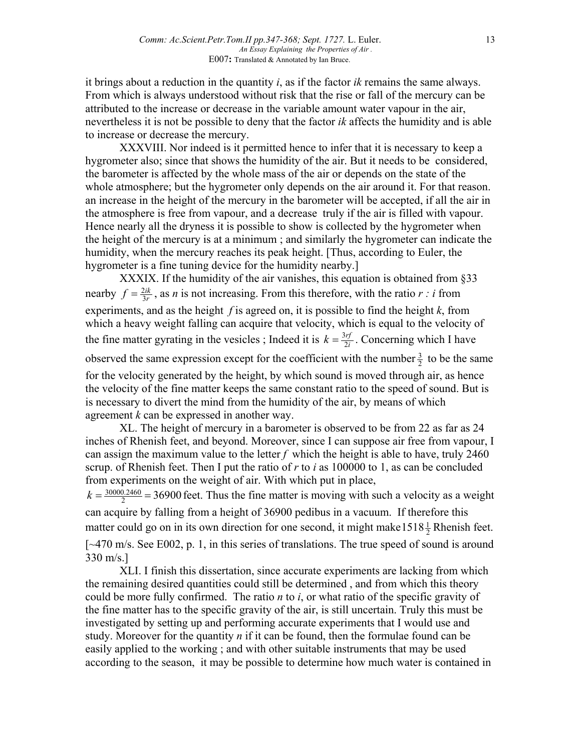it brings about a reduction in the quantity *i*, as if the factor *ik* remains the same always. From which is always understood without risk that the rise or fall of the mercury can be attributed to the increase or decrease in the variable amount water vapour in the air, nevertheless it is not be possible to deny that the factor *ik* affects the humidity and is able to increase or decrease the mercury.

XXXVIII. Nor indeed is it permitted hence to infer that it is necessary to keep a hygrometer also; since that shows the humidity of the air. But it needs to be considered, the barometer is affected by the whole mass of the air or depends on the state of the whole atmosphere; but the hygrometer only depends on the air around it. For that reason. an increase in the height of the mercury in the barometer will be accepted, if all the air in the atmosphere is free from vapour, and a decrease truly if the air is filled with vapour. Hence nearly all the dryness it is possible to show is collected by the hygrometer when the height of the mercury is at a minimum ; and similarly the hygrometer can indicate the humidity, when the mercury reaches its peak height. [Thus, according to Euler, the hygrometer is a fine tuning device for the humidity nearby.

XXXIX. If the humidity of the air vanishes, this equation is obtained from §33 nearby  $f = \frac{2ik}{3r}$ , as *n* is not increasing. From this therefore, with the ratio *r : i* from experiments, and as the height *f* is agreed on, it is possible to find the height *k*, from which a heavy weight falling can acquire that velocity, which is equal to the velocity of the fine matter gyrating in the vesicles ; Indeed it is  $k = \frac{3 \eta f}{2i}$ . Concerning which I have observed the same expression except for the coefficient with the number  $\frac{3}{2}$  to be the same for the velocity generated by the height, by which sound is moved through air, as hence the velocity of the fine matter keeps the same constant ratio to the speed of sound. But is is necessary to divert the mind from the humidity of the air, by means of which agreement *k* can be expressed in another way.

XL. The height of mercury in a barometer is observed to be from 22 as far as 24 inches of Rhenish feet, and beyond. Moreover, since I can suppose air free from vapour, I can assign the maximum value to the letter  $f$  which the height is able to have, truly 2460 scrup. of Rhenish feet. Then I put the ratio of *r* to *i* as 100000 to 1, as can be concluded from experiments on the weight of air. With which put in place,

 $k = \frac{30000.2460}{2}$  = 36900 feet. Thus the fine matter is moving with such a velocity as a weight can acquire by falling from a height of 36900 pedibus in a vacuum. If therefore this matter could go on in its own direction for one second, it might make  $1518\frac{1}{2}$  Rhenish feet. [~470 m/s. See E002, p. 1, in this series of translations. The true speed of sound is around 330 m/s.]

XLI. I finish this dissertation, since accurate experiments are lacking from which the remaining desired quantities could still be determined , and from which this theory could be more fully confirmed. The ratio *n* to *i*, or what ratio of the specific gravity of the fine matter has to the specific gravity of the air, is still uncertain. Truly this must be investigated by setting up and performing accurate experiments that I would use and study. Moreover for the quantity *n* if it can be found, then the formulae found can be easily applied to the working ; and with other suitable instruments that may be used according to the season, it may be possible to determine how much water is contained in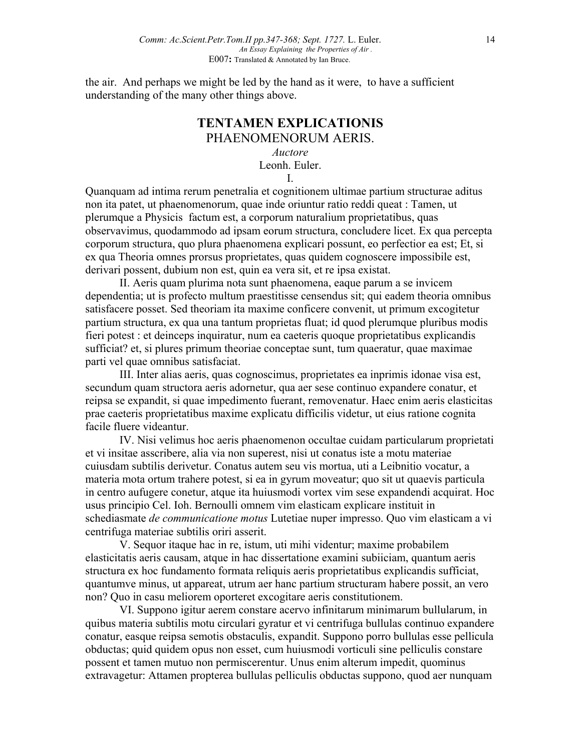the air. And perhaps we might be led by the hand as it were, to have a sufficient understanding of the many other things above.

## **TENTAMEN EXPLICATIONIS** PHAENOMENORUM AERIS.

*Auctore*

Leonh. Euler.

I.

Quanquam ad intima rerum penetralia et cognitionem ultimae partium structurae aditus non ita patet, ut phaenomenorum, quae inde oriuntur ratio reddi queat : Tamen, ut plerumque a Physicis factum est, a corporum naturalium proprietatibus, quas observavimus, quodammodo ad ipsam eorum structura, concludere licet. Ex qua percepta corporum structura, quo plura phaenomena explicari possunt, eo perfectior ea est; Et, si ex qua Theoria omnes prorsus proprietates, quas quidem cognoscere impossibile est, derivari possent, dubium non est, quin ea vera sit, et re ipsa existat.

II. Aeris quam plurima nota sunt phaenomena, eaque parum a se invicem dependentia; ut is profecto multum praestitisse censendus sit; qui eadem theoria omnibus satisfacere posset. Sed theoriam ita maxime conficere convenit, ut primum excogitetur partium structura, ex qua una tantum proprietas fluat; id quod plerumque pluribus modis fieri potest : et deinceps inquiratur, num ea caeteris quoque proprietatibus explicandis sufficiat? et, si plures primum theoriae conceptae sunt, tum quaeratur, quae maximae parti vel quae omnibus satisfaciat.

III. Inter alias aeris, quas cognoscimus, proprietates ea inprimis idonae visa est, secundum quam structora aeris adornetur, qua aer sese continuo expandere conatur, et reipsa se expandit, si quae impedimento fuerant, removenatur. Haec enim aeris elasticitas prae caeteris proprietatibus maxime explicatu difficilis videtur, ut eius ratione cognita facile fluere videantur.

IV. Nisi velimus hoc aeris phaenomenon occultae cuidam particularum proprietati et vi insitae asscribere, alia via non superest, nisi ut conatus iste a motu materiae cuiusdam subtilis derivetur. Conatus autem seu vis mortua, uti a Leibnitio vocatur, a materia mota ortum trahere potest, si ea in gyrum moveatur; quo sit ut quaevis particula in centro aufugere conetur, atque ita huiusmodi vortex vim sese expandendi acquirat. Hoc usus principio Cel. Ioh. Bernoulli omnem vim elasticam explicare instituit in schediasmate *de communicatione motus* Lutetiae nuper impresso. Quo vim elasticam a vi centrifuga materiae subtilis oriri asserit.

V. Sequor itaque hac in re, istum, uti mihi videntur; maxime probabilem elasticitatis aeris causam, atque in hac dissertatione examini subiiciam, quantum aeris structura ex hoc fundamento formata reliquis aeris proprietatibus explicandis sufficiat, quantumve minus, ut appareat, utrum aer hanc partium structuram habere possit, an vero non? Quo in casu meliorem oporteret excogitare aeris constitutionem.

VI. Suppono igitur aerem constare acervo infinitarum minimarum bullularum, in quibus materia subtilis motu circulari gyratur et vi centrifuga bullulas continuo expandere conatur, easque reipsa semotis obstaculis, expandit. Suppono porro bullulas esse pellicula obductas; quid quidem opus non esset, cum huiusmodi vorticuli sine pelliculis constare possent et tamen mutuo non permiscerentur. Unus enim alterum impedit, quominus extravagetur: Attamen propterea bullulas pelliculis obductas suppono, quod aer nunquam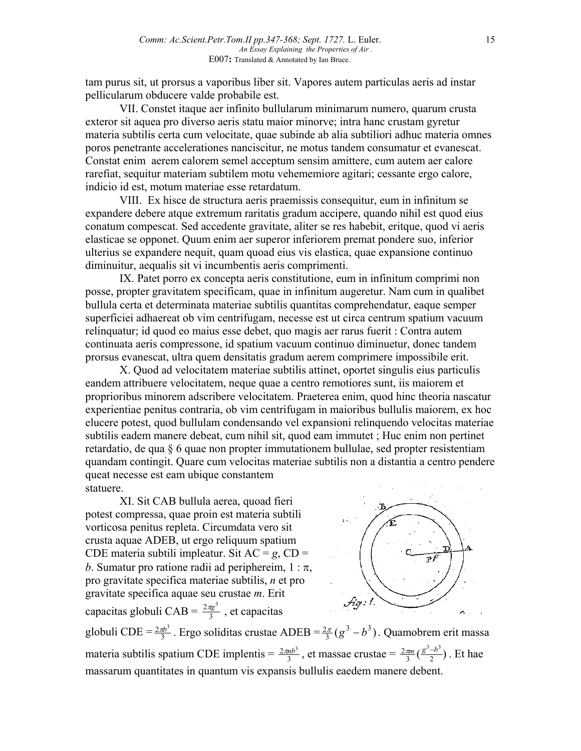tam purus sit, ut prorsus a vaporibus liber sit. Vapores autem particulas aeris ad instar pellicularum obducere valde probabile est.

VII. Constet itaque aer infinito bullularum minimarum numero, quarum crusta exteror sit aquea pro diverso aeris statu maior minorve; intra hanc crustam gyretur materia subtilis certa cum velocitate, quae subinde ab alia subtiliori adhuc materia omnes poros penetrante accelerationes nanciscitur, ne motus tandem consumatur et evanescat. Constat enim aerem calorem semel acceptum sensim amittere, cum autem aer calore rarefiat, sequitur materiam subtilem motu vehememiore agitari; cessante ergo calore, indicio id est, motum materiae esse retardatum.

VIII. Ex hisce de structura aeris praemissis consequitur, eum in infinitum se expandere debere atque extremum raritatis gradum accipere, quando nihil est quod eius conatum compescat. Sed accedente gravitate, aliter se res habebit, eritque, quod vi aeris elasticae se opponet. Quum enim aer superor inferiorem premat pondere suo, inferior ulterius se expandere nequit, quam quoad eius vis elastica, quae expansione continuo diminuitur, aequalis sit vi incumbentis aeris comprimenti.

IX. Patet porro ex concepta aeris constitutione, eum in infinitum comprimi non posse, propter gravitatem specificam, quae in infinitum augeretur. Nam cum in qualibet bullula certa et determinata materiae subtilis quantitas comprehendatur, eaque semper superficiei adhaereat ob vim centrifugam, necesse est ut circa centrum spatium vacuum relinquatur; id quod eo maius esse debet, quo magis aer rarus fuerit : Contra autem continuata aeris compressone, id spatium vacuum continuo diminuetur, donec tandem prorsus evanescat, ultra quem densitatis gradum aerem comprimere impossibile erit.

X. Quod ad velocitatem materiae subtilis attinet, oportet singulis eius particulis eandem attribuere velocitatem, neque quae a centro remotiores sunt, iis maiorem et proprioribus minorem adscribere velocitatem. Praeterea enim, quod hinc theoria nascatur experientiae penitus contraria, ob vim centrifugam in maioribus bullulis maiorem, ex hoc elucere potest, quod bullulam condensando vel expansioni relinquendo velocitas materiae subtilis eadem manere debeat, cum nihil sit, quod eam immutet ; Huc enim non pertinet retardatio, de qua § 6 quae non propter immutationem bullulae, sed propter resistentiam quandam contingit. Quare cum velocitas materiae subtilis non a distantia a centro pendere queat necesse est eam ubique constantem statuere.

XI. Sit CAB bullula aerea, quoad fieri potest compressa, quae proin est materia subtili vorticosa penitus repleta. Circumdata vero sit crusta aquae ADEB, ut ergo reliquum spatium CDE materia subtili impleatur. Sit  $AC = g$ ,  $CD =$ *b*. Sumatur pro ratione radii ad periphereim,  $1 : \pi$ , pro gravitate specifica materiae subtilis, *n* et pro gravitate specifica aquae seu crustae *m*. Erit capacitas globuli CAB =  $\frac{2\pi g^3}{3}$ , et capacitas



globuli CDE =  $\frac{2\pi b^3}{3}$ . Ergo soliditas crustae ADEB =  $\frac{2\pi}{3}(g^3 - b^3)$ . Quamobrem erit massa materia subtilis spatium CDE implentis =  $\frac{2\pi nb^3}{3}$ , et massae crustae =  $\frac{2\pi m}{3}(\frac{g^3-b^3}{2})$ . Et hae massarum quantitates in quantum vis expansis bullulis eaedem manere debent.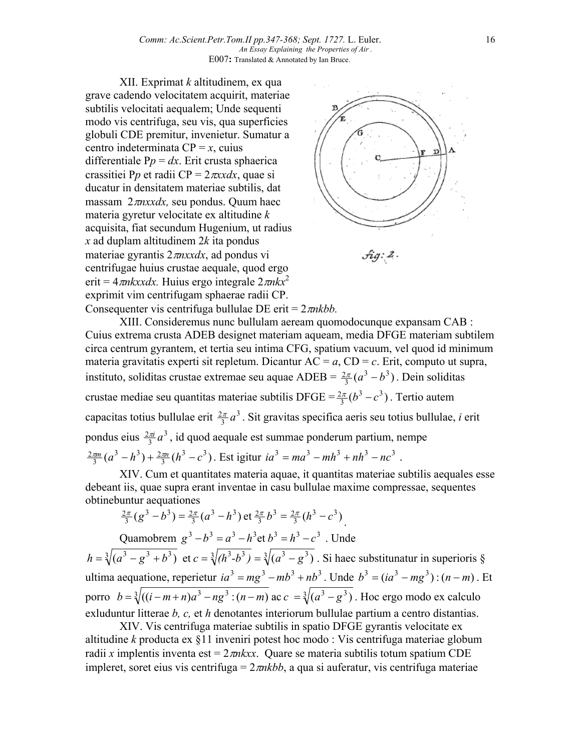XII. Exprimat *k* altitudinem, ex qua grave cadendo velocitatem acquirit, materiae subtilis velocitati aequalem; Unde sequenti modo vis centrifuga, seu vis, qua superficies globuli CDE premitur, invenietur. Sumatur a centro indeterminata  $CP = x$ , cuius differentiale  $Pp = dx$ . Erit crusta sphaerica crassitiei P*p* et radii CP = 2π*xxdx*, quae si ducatur in densitatem materiae subtilis, dat massam 2π*nxxdx,* seu pondus. Quum haec materia gyretur velocitate ex altitudine *k* acquisita, fiat secundum Hugenium, ut radius *x* ad duplam altitudinem 2*k* ita pondus materiae gyrantis 2π*nxxdx*, ad pondus vi centrifugae huius crustae aequale, quod ergo erit =  $4\pi n$ kxxdx. Huius ergo integrale  $2\pi n$ kx<sup>2</sup> exprimit vim centrifugam sphaerae radii CP. Consequenter vis centrifuga bullulae DE erit = 2π*nkbb.*



XIII. Consideremus nunc bullulam aeream quomodocunque expansam CAB : Cuius extrema crusta ADEB designet materiam aqueam, media DFGE materiam subtilem circa centrum gyrantem, et tertia seu intima CFG, spatium vacuum, vel quod id minimum materia gravitatis experti sit repletum. Dicantur  $AC = a$ ,  $CD = c$ . Erit, computo ut supra, instituto, soliditas crustae extremae seu aquae ADEB =  $\frac{2\pi}{3} (a^3 - b^3)$ . Dein soliditas crustae mediae seu quantitas materiae subtilis DFGE =  $\frac{2\pi}{3} (b^3 - c^3)$ . Tertio autem capacitas totius bullulae erit  $\frac{2\pi}{3}a^3$ . Sit gravitas specifica aeris seu totius bullulae, *i* erit pondus eius  $\frac{2\pi i}{3}a^3$ , id quod aequale est summae ponderum partium, nempe  $(a^3 - h^3) + \frac{2\pi n}{3} (h^3 - c^3)$  $3(h^3) + 2$  $\frac{2\pi m}{3}(a^3 - h^3) + \frac{2\pi n}{3}(h^3 - c^3)$ . Est igitur  $ia^3 = ma^3 - mh^3 + nh^3 - nc^3$ .

XIV. Cum et quantitates materia aquae, it quantitas materiae subtilis aequales esse debeant iis, quae supra erant inventae in casu bullulae maxime compressae, sequentes obtinebuntur aequationes

$$
\frac{2\pi}{3}(g^3-b^3)=\frac{2\pi}{3}(a^3-b^3)\,\text{et}\,\frac{2\pi}{3}b^3=\frac{2\pi}{3}(h^3-c^3).
$$

Quamobrem  $g^3 - b^3 = a^3 - h^3$ et  $b^3 = h^3 - c^3$ . Unde  $h = \sqrt[3]{(a^3 - g^3 + b^3)}$  et  $c = \sqrt[3]{(h^3 - b^3)} = \sqrt[3]{(a^3 - g^3)}$ . Si haec substitunatur in superioris § ultima aequatione, reperietur  $ia^3 = mg^3 - mb^3 + nb^3$ . Unde  $b^3 = (ia^3 - mg^3)$ :  $(n-m)$ . Et porro  $b = \sqrt[3]{((i-m+n)a^3 - ng^3/(n-m)}$  ac  $c = \sqrt[3]{(a^3 - g^3)}$ . Hoc ergo modo ex calculo exluduntur litterae *b, c,* et *h* denotantes interiorum bullulae partium a centro distantias.

XIV. Vis centrifuga materiae subtilis in spatio DFGE gyrantis velocitate ex altitudine *k* producta ex §11 inveniri potest hoc modo : Vis centrifuga materiae globum radii *x* implentis inventa est =  $2m$ *kxx*. Quare se materia subtilis totum spatium CDE impleret, soret eius vis centrifuga =  $2\pi nkb$ , a qua si auferatur, vis centrifuga materiae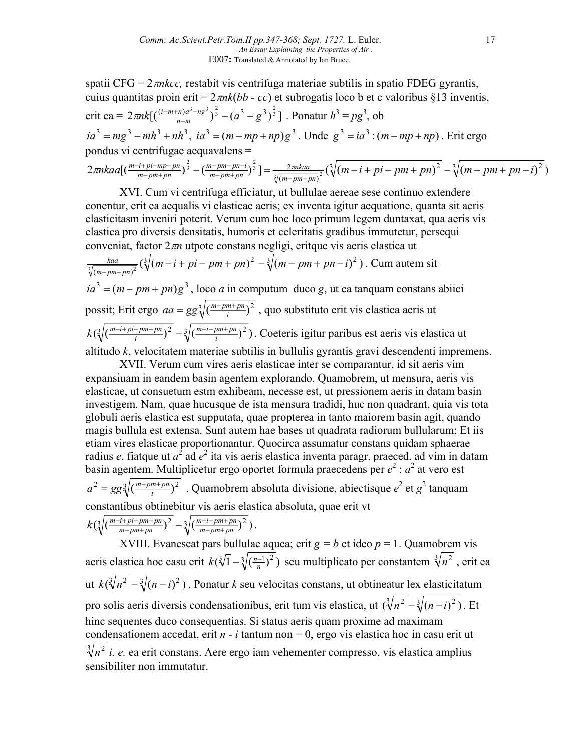spatii  $CFG = 2\pi n kcc$ , restabit vis centrifuga materiae subtilis in spatio FDEG gyrantis, cuius quantitas proin erit = 2π*nk*(*bb - cc*) et subrogatis loco b et c valoribus §13 inventis, erit ea =  $2\pi nk[(\frac{(i-m+n)a^3-ng^3}{n-m})^{\frac{2}{3}}-(a^3-g^3)^{\frac{2}{3}}]$ . Ponatur  $h^3 = pg^3$ , ob  $ia^3 = mg^3 - mh^3 + nh^3$ ,  $ia^3 = (m - mp + np)g^3$ . Unde  $g^3 = ia^3$ :  $(m - mp + np)$ . Erit ergo pondus vi centrifugae aequavalens =  $2\pi nkaa[(\frac{m-i+pi-mp+pn}{m-pm+pn})^{\frac{2}{3}}-(\frac{m-pm+pn-i}{m-pm+pn})^{\frac{2}{3}}]=\frac{2\pi nkaa}{\sqrt[3]{(m-pm+pn)^2}}(\sqrt[3]{(m-i+pi-pm+pn)^2}-\sqrt[3]{(m-pm+pn-i)^2})$ 2  $\frac{1}{2} \cdot \left( \frac{m - i + pi - mp + pn}{m - pm + pn} \right)^{\frac{2}{3}} - \left( \frac{m - pm + pn - i}{m - pm + pn} \right)^{\frac{2}{3}} \left[ \frac{2 \cdot mkaa}{\sqrt{(m - p m + pn)^2}} \left( \sqrt[3]{(m - i + pi - pm + pn)^2} - \sqrt[3]{(m - pm + pn - i)} \right]$ *m pm pn m pm pn i*  $\frac{m-i+pi-mp+pn}{m-pm+pn}$  $\Big(\frac{m-pm+pn-i}{m-pm+pn}\Big)^{\frac{2}{3}}\Big] = \frac{2\pi nkaa}{\sqrt[3]{(m-pm+pn)^2}} \left(\sqrt[3]{(m-i+pi-pm+pn)^2} - \sqrt[3]{(m-pm+pn+pn)^2} \right)$  $\pi nkaa[(\frac{m-i+pi-mp+pn}{m-pm+pn})^{\frac{2}{3}}-(\frac{m-pm+pn-i}{m-pm+pn})^{\frac{2}{3}}]=\frac{2\pi}{\sqrt{m-n}}$ 

XVI. Cum vi centrifuga efficiatur, ut bullulae aereae sese continuo extendere conentur, erit ea aequalis vi elasticae aeris; ex inventa igitur aequatione, quanta sit aeris elasticitasm inveniri poterit. Verum cum hoc loco primum legem duntaxat, qua aeris vis elastica pro diversis densitatis, humoris et celeritatis gradibus immutetur, persequi conveniat, factor 2π*n* utpote constans negligi, eritque vis aeris elastica ut  $\frac{kaa}{\sqrt[3]{(m-pm+pn)^2}}(\sqrt[3]{(m-i+pi-pm+pn)^2} - \sqrt[3]{(m-pm+pn-i)^2})$ . Cum autem sit  $ia^3 = (m - pm + pn)g^3$ , loco *a* in computum duco *g*, ut ea tanquam constans abiici possit; Erit ergo  $aa = gg\sqrt[3]{(\frac{m-pm+p_n}{i})^2}$ , quo substituto erit vis elastica aeris ut  $\left(\sqrt[3]{\left(\frac{m-i+pi-pm+pn}{i}\right)^2 - \sqrt[3]{\left(\frac{m-i-pm+pn}{i}\right)^2}}\right)$ *m i pm pn*  $k(\sqrt[3]{(\frac{m-i+pi-pm+pm}{i})^2} - \sqrt[3]{(\frac{m-i-pm+pm}{i})^2})$ . Coeteris igitur paribus est aeris vis elastica ut altitudo *k*, velocitatem materiae subtilis in bullulis gyrantis gravi descendenti impremens.

XVII. Verum cum vires aeris elasticae inter se comparantur, id sit aeris vim expansiuam in eandem basin agentem explorando. Quamobrem, ut mensura, aeris vis elasticae, ut consuetum estm exhibeam, necesse est, ut pressionem aeris in datam basin investigem. Nam, quae hucusque de ista mensura tradidi, huc non quadrant, quia vis tota globuli aeris elastica est supputata, quae propterea in tanto maiorem basin agit, quando magis bullula est extensa. Sunt autem hae bases ut quadrata radiorum bullularum; Et iis etiam vires elasticae proportionantur. Quocirca assumatur constans quidam sphaerae radius *e*, fiatque ut  $a^2$  ad  $e^2$  ita vis aeris elastica inventa paragr. praeced. ad vim in datam basin agentem. Multiplicetur ergo oportet formula praecedens per  $e^2$  :  $a^2$  at vero est  $a^2 = gg\sqrt[3]{(\frac{m-pm+pn}{t})^2}$ . Quamobrem absoluta divisione, abiectisque  $e^2$  et  $g^2$  tanquam constantibus obtinebitur vis aeris elastica absoluta, quae erit vt  $\left(\sqrt[3]{\left(\frac{m-i+pi-pm+pn}{m-pm+pn}\right)^2} - \sqrt[3]{\left(\frac{m-i-pm+pn}{m-pm+pn}\right)^2}\right)$ *m i pm pn*  $k(\sqrt[3]{(\frac{m-i+pi-pm+pn}{m-pm+pn})^2} - \sqrt[3]{(\frac{m-i-pm+1}{m-pm+1})^2}$  $\frac{-i + pi - pm + pn}{m - pm + pn}$  $\Big)^2 - \sqrt[3]{\Big(\frac{m - i - pm + pn}{m - pm + pn}\Big)^2}$ .

XVIII. Evanescat pars bullulae aquea; erit  $g = b$  et ideo  $p = 1$ . Quamobrem vis aeris elastica hoc casu erit  $k(\sqrt[3]{1} - \sqrt[3]{(\frac{n-1}{n})^2})$  seu multiplicato per constantem  $\sqrt[3]{n^2}$ , erit ea ut  $k(\sqrt[3]{n^2} - \sqrt[3]{(n-i)^2})$ . Ponatur *k* seu velocitas constans, ut obtineatur lex elasticitatum pro solis aeris diversis condensationibus, erit tum vis elastica, ut  $(\sqrt[3]{n^2} - \sqrt[3]{(n-i)^2})$ . Et hinc sequentes duco consequentias. Si status aeris quam proxime ad maximam condensationem accedat, erit  $n - i$  tantum non  $= 0$ , ergo vis elastica hoc in casu erit ut  $\sqrt[3]{n^2}$  *i. e.* ea erit constans. Aere ergo iam vehementer compresso, vis elastica amplius sensibiliter non immutatur.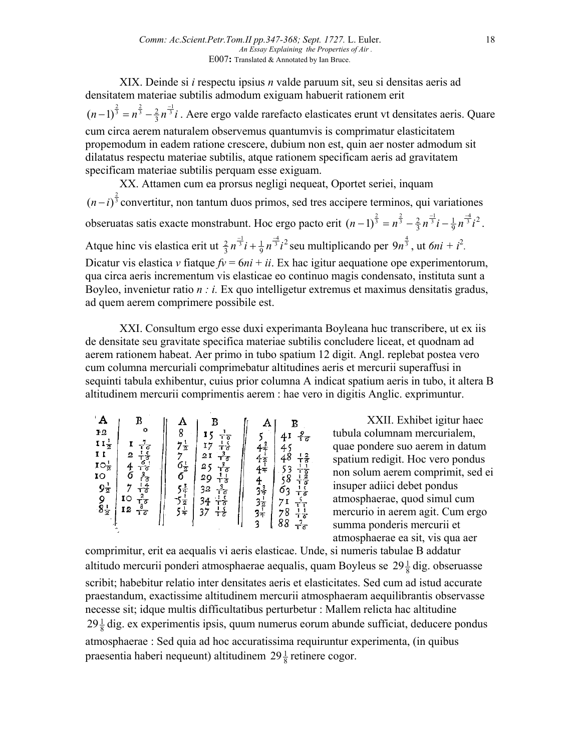XIX. Deinde si *i* respectu ipsius *n* valde paruum sit, seu si densitas aeris ad densitatem materiae subtilis admodum exiguam habuerit rationem erit  $(n-1)^{\frac{2}{3}} = n^{\frac{2}{3}} - \frac{2}{3} n^{\frac{-1}{3}} i$  $(n-1)^{\frac{2}{3}} = n^{\frac{2}{3}} - \frac{2}{3}n^{\frac{-1}{3}}i$ . Aere ergo valde rarefacto elasticates erunt vt densitates aeris. Quare cum circa aerem naturalem observemus quantumvis is comprimatur elasticitatem propemodum in eadem ratione crescere, dubium non est, quin aer noster admodum sit dilatatus respectu materiae subtilis, atque rationem specificam aeris ad gravitatem specificam materiae subtilis perquam esse exiguam.

XX. Attamen cum ea prorsus negligi nequeat, Oportet seriei, inquam  $(n-i)^{\frac{2}{3}}$  convertitur, non tantum duos primos, sed tres accipere terminos, qui variationes obseruatas satis exacte monstrabunt. Hoc ergo pacto erit  $(n-1)^{\frac{2}{3}} = n^{\frac{2}{3}} - \frac{2}{3}n^{\frac{-1}{3}}i - \frac{1}{9}n^{\frac{-4}{3}}i^2$ . Atque hinc vis elastica erit ut  $\frac{2}{3}n^{\frac{-1}{3}}i + \frac{1}{9}n^{\frac{-4}{3}}i^2$  seu multiplicando per  $9n^{\frac{4}{3}}$ , ut  $6ni + i^2$ . Dicatur vis elastica *v* fiatque  $fv = 6ni + ii$ . Ex hac igitur aequatione ope experimentorum, qua circa aeris incrementum vis elasticae eo continuo magis condensato, instituta sunt a Boyleo, invenietur ratio *n : i.* Ex quo intelligetur extremus et maximus densitatis gradus, ad quem aerem comprimere possibile est.

XXI. Consultum ergo esse duxi experimanta Boyleana huc transcribere, ut ex iis de densitate seu gravitate specifica materiae subtilis concludere liceat, et quodnam ad aerem rationem habeat. Aer primo in tubo spatium 12 digit. Angl. replebat postea vero cum columna mercuriali comprimebatur altitudines aeris et mercurii superaffusi in sequinti tabula exhibentur, cuius prior columna A indicat spatium aeris in tubo, it altera B altitudinem mercurii comprimentis aerem : hae vero in digitis Anglic. exprimuntur.

| $A$<br>$P12$<br>B<br>$\frac{A}{8}$<br>$7\frac{1}{2}$<br>B<br>٥<br>$\frac{1}{1} \frac{1}{3} \frac{1}{3} \frac{1}{6} \frac{3}{3} \frac{3}{6} \frac{1}{3} \frac{1}{6} \frac{3}{3} \frac{1}{6} \frac{1}{3} \frac{1}{6} \frac{3}{3} \frac{1}{6} \frac{1}{3} \frac{1}{6} \frac{1}{3} \frac{1}{6} \frac{1}{3} \frac{1}{6} \frac{1}{3} \frac{1}{6} \frac{1}{3} \frac{1}{6} \frac{1}{3} \frac{1}{6} \frac{1}{3} \frac{1}{6} \frac{1}{3} \frac{1}{6} \frac{1}{3} \frac{$<br>$\frac{15}{17}$<br>21<br>4<br>$\frac{11\frac{1}{2}}{11}$<br>$\frac{1}{16} \frac{1}{6} \frac{1}{16} \frac{1}{16} \frac{1}{16} \frac{1}{16} \frac{1}{16} \frac{1}{16} \frac{1}{16} \frac{1}{16} \frac{1}{16} \frac{1}{16} \frac{1}{16} \frac{1}{16} \frac{1}{16} \frac{1}{16} \frac{1}{16} \frac{1}{16} \frac{1}{16} \frac{1}{16} \frac{1}{16} \frac{1}{16} \frac{1}{16} \frac{1}{16} \frac{1}{16} \frac{1}{16} \frac{1}{16} \frac{1}{$<br>$4444$<br>$4437$<br>$371$<br>$371$<br><br><br><br><br><br><br><br><br><br><br><br><br><br><br><br><br><br><br><br><br><br><br><br><br><br><br><br>45<br>2467<br>$762$<br>$5412$<br>$54121$<br>$48$<br>538<br>58<br>53<br>$10^{\frac{1}{2}}$<br>$10^{\frac{1}{2}}$<br>$9^{\frac{1}{2}}$<br>$8^{\frac{1}{2}}$<br>25<br>29<br>32<br>$\overline{\mathbf{I}}$<br>34<br>37<br>$71\n78\n88$<br>12 | $\frac{9}{16}$<br>$\frac{1}{T} \frac{1}{T} \frac{1}{T} \frac{1}{T} \frac{1}{T} \frac{1}{T} \frac{1}{T} \frac{1}{T} \frac{1}{T} \frac{1}{T} \frac{1}{T} \frac{1}{T} \frac{1}{T} \frac{1}{T} \frac{1}{T} \frac{1}{T} \frac{1}{T} \frac{1}{T} \frac{1}{T} \frac{1}{T} \frac{1}{T} \frac{1}{T} \frac{1}{T} \frac{1}{T} \frac{1}{T} \frac{1}{T} \frac{1}{T} \frac{1}{T} \frac{1}{T} \frac{1}{T} \frac{1}{T} \frac{$ |
|-------------------------------------------------------------------------------------------------------------------------------------------------------------------------------------------------------------------------------------------------------------------------------------------------------------------------------------------------------------------------------------------------------------------------------------------------------------------------------------------------------------------------------------------------------------------------------------------------------------------------------------------------------------------------------------------------------------------------------------------------------------------------------------------------------------------------------------------------------------------------------------------------------------------------------------------------------------------------------------------------------------------------------------------------------------------------------------------------------------------------------------------------------------------------------------------------------------------------------------------------------------------------------------------------------|----------------------------------------------------------------------------------------------------------------------------------------------------------------------------------------------------------------------------------------------------------------------------------------------------------------------------------------------------------------------------------------------------------------|
|-------------------------------------------------------------------------------------------------------------------------------------------------------------------------------------------------------------------------------------------------------------------------------------------------------------------------------------------------------------------------------------------------------------------------------------------------------------------------------------------------------------------------------------------------------------------------------------------------------------------------------------------------------------------------------------------------------------------------------------------------------------------------------------------------------------------------------------------------------------------------------------------------------------------------------------------------------------------------------------------------------------------------------------------------------------------------------------------------------------------------------------------------------------------------------------------------------------------------------------------------------------------------------------------------------|----------------------------------------------------------------------------------------------------------------------------------------------------------------------------------------------------------------------------------------------------------------------------------------------------------------------------------------------------------------------------------------------------------------|

XXII. Exhibet igitur haec tubula columnam mercurialem, quae pondere suo aerem in datum spatium redigit. Hoc vero pondus non solum aerem comprimit, sed ei insuper adiici debet pondus atmosphaerae, quod simul cum mercurio in aerem agit. Cum ergo summa ponderis mercurii et atmosphaerae ea sit, vis qua aer

comprimitur, erit ea aequalis vi aeris elasticae. Unde, si numeris tabulae B addatur altitudo mercurii ponderi atmosphaerae aequalis, quam Boyleus se  $29\frac{1}{8}$  dig. obseruasse scribit; habebitur relatio inter densitates aeris et elasticitates. Sed cum ad istud accurate praestandum, exactissime altitudinem mercurii atmosphaeram aequilibrantis observasse necesse sit; idque multis difficultatibus perturbetur : Mallem relicta hac altitudine  $29\frac{1}{8}$  dig. ex experimentis ipsis, quum numerus eorum abunde sufficiat, deducere pondus atmosphaerae : Sed quia ad hoc accuratissima requiruntur experimenta, (in quibus praesentia haberi nequeunt) altitudinem  $29\frac{1}{8}$  retinere cogor.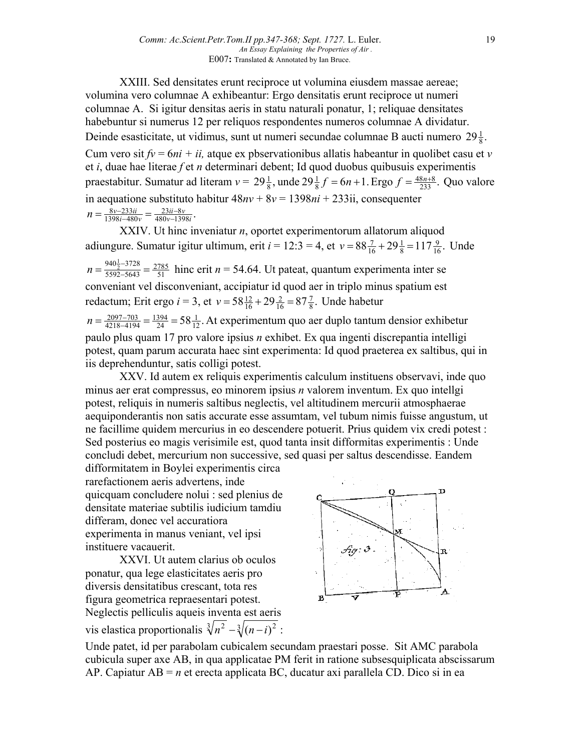XXIII. Sed densitates erunt reciproce ut volumina eiusdem massae aereae; volumina vero columnae A exhibeantur: Ergo densitatis erunt reciproce ut numeri columnae A. Si igitur densitas aeris in statu naturali ponatur, 1; reliquae densitates habebuntur si numerus 12 per reliquos respondentes numeros columnae A dividatur. Deinde esasticitate, ut vidimus, sunt ut numeri secundae columnae B aucti numero  $29\frac{1}{8}$ . Cum vero sit  $fv = 6ni + ii$ , atque ex pbservationibus allatis habeantur in quolibet casu et *v* et *i*, duae hae literae *f* et *n* determinari debent; Id quod duobus quibusuis experimentis praestabitur. Sumatur ad literam  $v = 29\frac{1}{8}$ , unde  $29\frac{1}{8}f = 6n + 1$ . Ergo  $f = \frac{48n+8}{233}$ . 8 1  $\frac{1}{8}$ , unde  $29\frac{1}{8}f = 6n + 1$ . Ergo  $f = \frac{48n+8}{233}$ . Quo valore in aequatione substituto habitur 48*nv* + 8*v* = 1398*ni* + 233ii, consequenter  $\frac{23ii - 8v}{480v - 1398i}$ .  $1398 i - 480$  $8v - 233$ *v i ii v*  $n = \frac{8v - 233ii}{1398i - 480v} = \frac{23ii - 480v - 1}{480v - 1}$  $=\frac{8v-233ii}{1398i-480v}$ 

XXIV. Ut hinc inveniatur *n*, oportet experimentorum allatorum aliquod adiungure. Sumatur igitur ultimum, erit *i* = 12:3 = 4, et  $v = 88\frac{7}{16} + 29\frac{1}{8} = 117\frac{9}{16}$ . 8 1  $v = 88\frac{7}{16} + 29\frac{1}{8} = 117\frac{9}{16}$ . Unde 51 2785 5592-5643  $n = \frac{940\frac{1}{2} - 3728}{5592 - 5643} = \frac{2785}{51}$  hinc erit  $n = 54.64$ . Ut pateat, quantum experimenta inter se conveniant vel disconveniant, accipiatur id quod aer in triplo minus spatium est redactum; Erit ergo *i* = 3, et  $v = 58 \frac{12}{16} + 29 \frac{2}{16} = 87 \frac{7}{8}$ . 16 2  $v = 58\frac{12}{16} + 29\frac{2}{16} = 87\frac{7}{8}$ . Unde habetur  $58\frac{1}{12}$ . 24 1394  $n = \frac{2097 - 703}{4218 - 4194} = \frac{1394}{24} = 58\frac{1}{12}$ . At experimentum quo aer duplo tantum densior exhibetur paulo plus quam 17 pro valore ipsius *n* exhibet. Ex qua ingenti discrepantia intelligi potest, quam parum accurata haec sint experimenta: Id quod praeterea ex saltibus, qui in iis deprehenduntur, satis colligi potest.

XXV. Id autem ex reliquis experimentis calculum instituens observavi, inde quo minus aer erat compressus, eo minorem ipsius *n* valorem inventum. Ex quo intellgi potest, reliquis in numeris saltibus neglectis, vel altitudinem mercurii atmosphaerae aequiponderantis non satis accurate esse assumtam, vel tubum nimis fuisse angustum, ut ne facillime quidem mercurius in eo descendere potuerit. Prius quidem vix credi potest : Sed posterius eo magis verisimile est, quod tanta insit difformitas experimentis : Unde concludi debet, mercurium non successive, sed quasi per saltus descendisse. Eandem

difformitatem in Boylei experimentis circa rarefactionem aeris advertens, inde quicquam concludere nolui : sed plenius de densitate materiae subtilis iudicium tamdiu differam, donec vel accuratiora experimenta in manus veniant, vel ipsi instituere vacauerit.

XXVI. Ut autem clarius ob oculos ponatur, qua lege elasticitates aeris pro diversis densitatibus crescant, tota res figura geometrica repraesentari potest. Neglectis pelliculis aqueis inventa est aeris vis elastica proportionalis  $\sqrt[3]{n^2 - \sqrt[3]{(n-i)^2}}$ :



Unde patet, id per parabolam cubicalem secundam praestari posse. Sit AMC parabola cubicula super axe AB, in qua applicatae PM ferit in ratione subsesquiplicata abscissarum AP. Capiatur AB = *n* et erecta applicata BC, ducatur axi parallela CD. Dico si in ea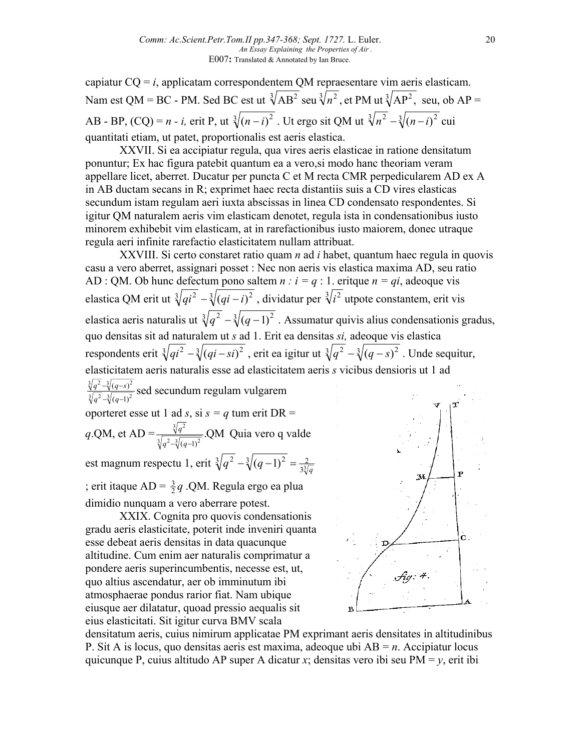capiatur  $CQ = i$ , applicatam correspondentem QM repraesentare vim aeris elasticam. Nam est QM = BC - PM. Sed BC est ut  $\sqrt[3]{AB^2}$  seu  $\sqrt[3]{n^2}$ , et PM ut  $\sqrt[3]{AP^2}$ , seu, ob AP = AB - BP,  $(CQ) = n - i$ , erit P, ut  $\sqrt[3]{(n-i)^2}$ . Ut ergo sit QM ut  $\sqrt[3]{n^2} - \sqrt[3]{(n-i)^2}$  cui quantitati etiam, ut patet, proportionalis est aeris elastica.

XXVII. Si ea accipiatur regula, qua vires aeris elasticae in ratione densitatum ponuntur; Ex hac figura patebit quantum ea a vero,si modo hanc theoriam veram appellare licet, aberret. Ducatur per puncta C et M recta CMR perpedicularem AD ex A in AB ductam secans in R; exprimet haec recta distantiis suis a CD vires elasticas secundum istam regulam aeri iuxta abscissas in linea CD condensato respondentes. Si igitur QM naturalem aeris vim elasticam denotet, regula ista in condensationibus iusto minorem exhibebit vim elasticam, at in rarefactionibus iusto maiorem, donec utraque regula aeri infinite rarefactio elasticitatem nullam attribuat.

XXVIII. Si certo constaret ratio quam *n* ad *i* habet, quantum haec regula in quovis casu a vero aberret, assignari posset : Nec non aeris vis elastica maxima AD, seu ratio AD : QM. Ob hunc defectum pono saltem  $n : i = q : 1$ . eritque  $n = qi$ , adeoque vis elastica QM erit ut  $\sqrt[3]{qi^2} - \sqrt[3]{(qi - i)^2}$ , dividatur per  $\sqrt[3]{i^2}$  utpote constantem, erit vis elastica aeris naturalis ut  $\sqrt[3]{q^2} - \sqrt[3]{(q-1)^2}$ . Assumatur quivis alius condensationis gradus, quo densitas sit ad naturalem ut *s* ad 1. Erit ea densitas *si,* adeoque vis elastica respondents erit  $\sqrt[3]{qi^2} - \sqrt[3]{(qi - si)^2}$ , erit ea igitur ut  $\sqrt[3]{q^2} - \sqrt[3]{(q - s)^2}$ . Unde sequitur, elasticitatem aeris naturalis esse ad elasticitatem aeris *s* vicibus densioris ut 1 ad  $\frac{3}{a^2} - \frac{3}{a} \frac{3}{a-1}$ <sup>2</sup>  $3(a^2 - 3)(a - 3)^2$  $(q-1)$  $(q-s)$  $-\sqrt[3]{(q -\sqrt[3]{(q \frac{q^2-\sqrt[3]{(q-s)^2}}{q^2-\sqrt[3]{(q-1)^2}}$  sed secundum regulam vulgarem oporteret esse ut 1 ad *s*, si  $s = q$  tum erit DR = *q*.QM, et AD =  $\frac{\sqrt[3]{q^2}}{\sqrt[3]{a^2 + 3(a-1)^2}}$  QM  $q^2 - \sqrt[3]{(q-1)}$  $\frac{q^2}{\sqrt{q}}$  QM Quia vero q valde est magnum respectu 1, erit  $\sqrt[3]{q^2 - \sqrt[3]{(q-1)^2}} = \frac{2}{3\sqrt[3]{q}}$ ; erit itaque AD =  $\frac{3}{2}q$  .QM. Regula ergo ea plua

dimidio nunquam a vero aberrare potest.

XXIX. Cognita pro quovis condensationis gradu aeris elasticitate, poterit inde inveniri quanta esse debeat aeris densitas in data quacunque altitudine. Cum enim aer naturalis comprimatur a pondere aeris superincumbentis, necesse est, ut, quo altius ascendatur, aer ob imminutum ibi atmosphaerae pondus rarior fiat. Nam ubique eiusque aer dilatatur, quoad pressio aequalis sit eius elasticitati. Sit igitur curva BMV scala



densitatum aeris, cuius nimirum applicatae PM exprimant aeris densitates in altitudinibus P. Sit A is locus, quo densitas aeris est maxima, adeoque ubi AB = *n*. Accipiatur locus quicunque P, cuius altitudo AP super A dicatur *x*; densitas vero ibi seu PM =  $v$ , erit ibi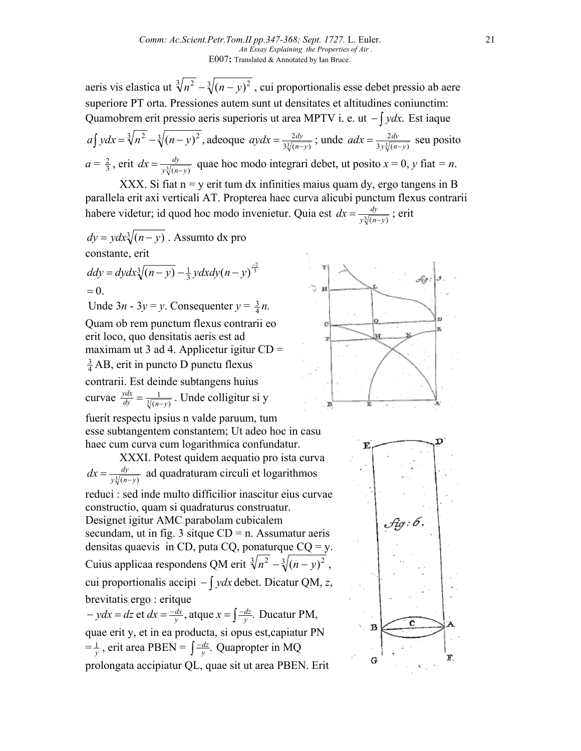aeris vis elastica ut  $\sqrt[3]{n^2} - \sqrt[3]{(n-y)^2}$ , cui proportionalis esse debet pressio ab aere superiore PT orta. Pressiones autem sunt ut densitates et altitudines coniunctim: Quamobrem erit pressio aeris superioris ut area MPTV i. e. ut − ∫ *ydx*. Est iaque

 $a\int ydx = \sqrt[3]{n^2 - \sqrt[3]{(n-y)^2}}$ , adeoque  $aydx = \frac{2dy}{3\sqrt[3]{(n-y)}}$  $aydx = \frac{2dy}{3\sqrt[3]{(n-y)}}$ ; unde  $adx = \frac{2dy}{3y\sqrt[3]{(n-y)}}$  $adx = \frac{2dy}{3y\sqrt[3]{(n-y)}}$  seu posito  $a = \frac{2}{3}$ , erit  $dx = \frac{dy}{y\sqrt[3]{(n-y)}}$  quae hoc modo integrari debet, ut posito  $x = 0$ , *y* fiat *= n*.

XXX. Si fiat  $n = y$  erit tum dx infinities maius quam dy, ergo tangens in B parallela erit axi verticali AT. Propterea haec curva alicubi punctum flexus contrarii habere videtur; id quod hoc modo invenietur. Quia est  $dx = \frac{dy}{y^3/(n-y)}$ ; erit

$$
dy = ydx\sqrt[3]{(n-y)}
$$
. Assume that  $dx$  produces  $dy$  is  $dy = dydx\sqrt[3]{(n-y)} - \frac{1}{3}ydx\sqrt[3]{(n-y)^3}$   
= 0.  
  $2x - 3y = y$ . Consequently,  $y = \frac{3}{4}n$ .  
  $2x - 3y = y$ . Consequently,  $y = \frac{3}{4}n$ .

erit loco, quo densitatis aeris est ad maximam ut 3 ad 4. Applicetur igitur  $CD =$  $\frac{3}{4}$  AB, erit in puncto D punctu flexus contrarii. Est deinde subtangens huius curvae  $\frac{ydx}{dy} = \frac{1}{\sqrt[3]{(n-y)}}$  $dy = \sqrt[3]{(n-y)}$  $\frac{ydx}{dy} = \frac{1}{\sqrt[3]{(n-y)}}$ . Unde colligitur si y fuerit respectu ipsius n valde paruum, tum

esse subtangentem constantem; Ut adeo hoc in casu haec cum curva cum logarithmica confundatur.

XXXI. Potest quidem aequatio pro ista curva  $dx = \frac{dy}{y\sqrt[3]{(n-y)}}$  ad quadraturam circuli et logarithmos reduci : sed inde multo difficilior inascitur eius curvae constructio, quam si quadraturus construatur. Designet igitur AMC parabolam cubicalem secundam, ut in fig. 3 sitque  $CD = n$ . Assumatur aeris densitas quaevis in CD, puta CQ, ponaturque  $CQ = y$ . Cuius applicaa respondens QM erit  $\sqrt[3]{n^2 - \sqrt[3]{(n-y)^2}}$ , cui proportionalis accipi − ∫ *ydx* debet. Dicatur QM, *z*, brevitatis ergo : eritque  $-ydx = dz$  et  $dx = \frac{-dx}{y}$ , atque  $x = \int \frac{-dz}{y}$ .  $ydx = dz$  et  $dx = \frac{-dx}{y}$ , atque  $x = \int \frac{-dz}{y}$ . Ducatur PM,

quae erit y, et in ea producta, si opus est,capiatur PN  $=\frac{1}{y}$ , erit area PBEN =  $\int \frac{-dz}{y}$ . *y dz* Quapropter in MQ prolongata accipiatur QL, quae sit ut area PBEN. Erit



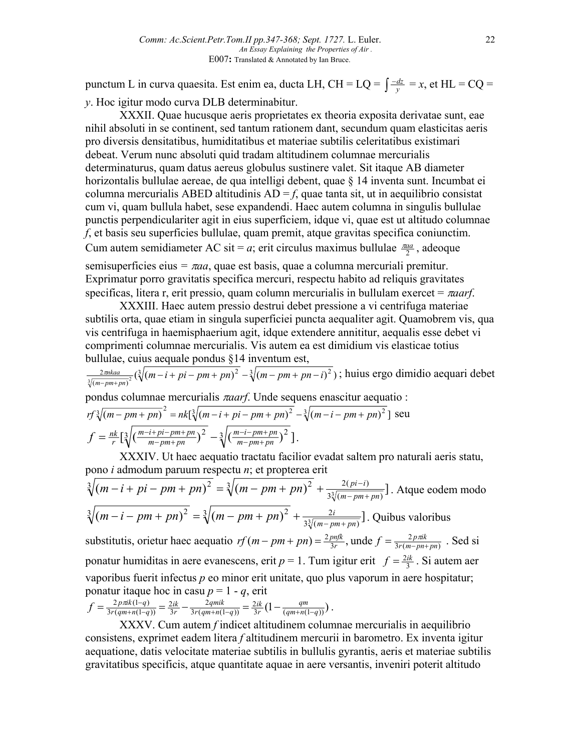punctum L in curva quaesita. Est enim ea, ducta LH, CH = LQ =  $\int \frac{-dz}{y} = x$ , et HL = CQ = *y*. Hoc igitur modo curva DLB determinabitur.

XXXII. Quae hucusque aeris proprietates ex theoria exposita derivatae sunt, eae nihil absoluti in se continent, sed tantum rationem dant, secundum quam elasticitas aeris pro diversis densitatibus, humiditatibus et materiae subtilis celeritatibus existimari debeat. Verum nunc absoluti quid tradam altitudinem columnae mercurialis determinaturus, quam datus aereus globulus sustinere valet. Sit itaque AB diameter horizontalis bullulae aereae, de qua intelligi debent, quae § 14 inventa sunt. Incumbat ei columna mercurialis ABED altitudinis  $AD = f$ , quae tanta sit, ut in aequilibrio consistat cum vi, quam bullula habet, sese expandendi. Haec autem columna in singulis bullulae punctis perpendiculariter agit in eius superficiem, idque vi, quae est ut altitudo columnae *f*, et basis seu superficies bullulae, quam premit, atque gravitas specifica coniunctim. Cum autem semidiameter AC sit = *a*; erit circulus maximus bullulae  $\frac{\pi a a}{2}$ , adeoque

semisuperficies eius *=* π*aa*, quae est basis, quae a columna mercuriali premitur. Exprimatur porro gravitatis specifica mercuri, respectu habito ad reliquis gravitates specificas, litera r, erit pressio, quam column mercurialis in bullulam exercet = π*aarf*.

XXXIII. Haec autem pressio destrui debet pressione a vi centrifuga materiae subtilis orta, quae etiam in singula superficiei puncta aequaliter agit. Quamobrem vis, qua vis centrifuga in haemisphaerium agit, idque extendere annititur, aequalis esse debet vi comprimenti columnae mercurialis. Vis autem ea est dimidium vis elasticae totius bullulae, cuius aequale pondus §14 inventum est,

$$
\frac{2\pi i k a a}{\sqrt[3]{(m-pm+p n)^2}} (\sqrt[3]{(m-i + pi - pm + pn)^2} - \sqrt[3]{(m-pm+p n-i)^2})
$$
; huius ergo dimidio aequari debet

pondus columnae mercurialis π*aarf*. Unde sequens enascitur aequatio :

$$
rf\sqrt[3]{(m-pm+pn)^2} = nk[\sqrt[3]{(m-i+pi-pm+pn)^2} - \sqrt[3]{(m-i-pm+pn)^2}] \text{ seu}
$$
  

$$
f = \frac{nk}{r}[\sqrt[3]{(\frac{m-i+pi-pm+pn}{m-pm+pn})^2} - \sqrt[3]{(\frac{m-i-pm+pn}{m-pm+pn})^2}].
$$

 $3r(qm+n(1-q))$ 

 $r(qm+n(1-q))$ 

3

*r*

 $3r(qm+n(1-q))$ 

XXXIV. Ut haec aequatio tractatu facilior evadat saltem pro naturali aeris statu, pono *i* admodum paruum respectu *n*; et propterea erit

$$
\sqrt[3]{(m-i+pi+pm)^2} = \sqrt[3]{(m-pm+pn)^2} + \frac{2(pi-i)}{3\sqrt[3]{(m-pm+pn)}}.
$$
 Atque eodem modo  
\n
$$
\sqrt[3]{(m-i-pm+pn)^2} = \sqrt[3]{(m-pm+pn)^2} + \frac{2i}{3\sqrt[3]{(m-pm+pn)}}.
$$
 Quibus valoribus  
\nsubstitutis, orietur haec aequatio  $rf(m-pm+pn) = \frac{2pnfk}{3r}$ , unde  $f = \frac{2p\pi ik}{3r(m-pn+pn)}$ . Sed si  
\nponatur humiditas in aere evanescens, erit  $p = 1$ . Tum igitur erit  $f = \frac{2ik}{3}$ . Si autem aer  
\nvaporibus fuerit infectus *p* eo minor erit unitate, quo plus vaporum in aere hospitatur;  
\nponatur itaque hoc in casu  $p = 1 - q$ , erit  
\n
$$
f = \frac{2p\pi k(1-q)}{3r(qm+n(1-q))} = \frac{2ik}{3r} - \frac{2qmik}{3r(qm+n(1-q))} = \frac{2ik}{3r} (1 - \frac{qm}{(qm+n(1-q))}).
$$

XXXV. Cum autem *f* indicet altitudinem columnae mercurialis in aequilibrio consistens, exprimet eadem litera *f* altitudinem mercurii in barometro. Ex inventa igitur aequatione, datis velocitate materiae subtilis in bullulis gyrantis, aeris et materiae subtilis gravitatibus specificis, atque quantitate aquae in aere versantis, inveniri poterit altitudo

*r*

 $qm+n(1-q)$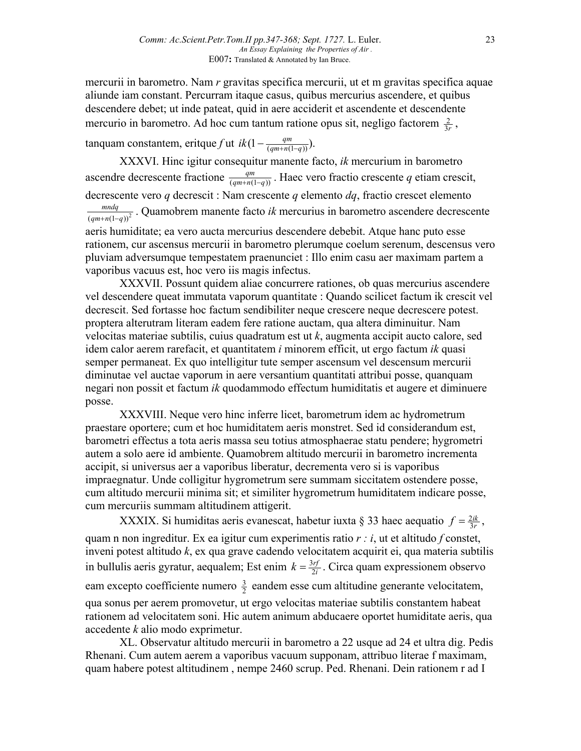mercurii in barometro. Nam *r* gravitas specifica mercurii, ut et m gravitas specifica aquae aliunde iam constant. Percurram itaque casus, quibus mercurius ascendere, et quibus descendere debet; ut inde pateat, quid in aere acciderit et ascendente et descendente mercurio in barometro. Ad hoc cum tantum ratione opus sit, negligo factorem  $\frac{2}{3r}$ ,

tanquam constantem, eritque *f* ut  $ik(1 - \frac{qm}{(qm+n(1-q))})$ .

XXXVI. Hinc igitur consequitur manente facto, *ik* mercurium in barometro ascendre decrescente fractione  $\frac{qm}{(qm+n(1-q))}$ . Haec vero fractio crescente q etiam crescit, decrescente vero *q* decrescit : Nam crescente *q* elemento *dq*, fractio crescet elemento  $(qm+n(1-q))^{2}$  $\frac{mndq}{+n(1-q)^2}$ . Quamobrem manente facto *ik* mercurius in barometro ascendere decrescente aeris humiditate; ea vero aucta mercurius descendere debebit. Atque hanc puto esse rationem, cur ascensus mercurii in barometro plerumque coelum serenum, descensus vero pluviam adversumque tempestatem praenunciet : Illo enim casu aer maximam partem a vaporibus vacuus est, hoc vero iis magis infectus.

XXXVII. Possunt quidem aliae concurrere rationes, ob quas mercurius ascendere vel descendere queat immutata vaporum quantitate : Quando scilicet factum ik crescit vel decrescit. Sed fortasse hoc factum sendibiliter neque crescere neque decrescere potest. proptera alterutram literam eadem fere ratione auctam, qua altera diminuitur. Nam velocitas materiae subtilis, cuius quadratum est ut *k*, augmenta accipit aucto calore, sed idem calor aerem rarefacit, et quantitatem *i* minorem efficit, ut ergo factum *ik* quasi semper permaneat. Ex quo intelligitur tute semper ascensum vel descensum mercurii diminutae vel auctae vaporum in aere versantium quantitati attribui posse, quanquam negari non possit et factum *ik* quodammodo effectum humiditatis et augere et diminuere posse.

XXXVIII. Neque vero hinc inferre licet, barometrum idem ac hydrometrum praestare oportere; cum et hoc humiditatem aeris monstret. Sed id considerandum est, barometri effectus a tota aeris massa seu totius atmosphaerae statu pendere; hygrometri autem a solo aere id ambiente. Quamobrem altitudo mercurii in barometro incrementa accipit, si universus aer a vaporibus liberatur, decrementa vero si is vaporibus impraegnatur. Unde colligitur hygrometrum sere summam siccitatem ostendere posse, cum altitudo mercurii minima sit; et similiter hygrometrum humiditatem indicare posse, cum mercuriis summam altitudinem attigerit.

XXXIX. Si humiditas aeris evanescat, habetur iuxta § 33 haec aequatio  $f = \frac{2ik}{3r}$ , quam n non ingreditur. Ex ea igitur cum experimentis ratio *r : i*, ut et altitudo *f* constet, inveni potest altitudo *k*, ex qua grave cadendo velocitatem acquirit ei, qua materia subtilis in bullulis aeris gyratur, aequalem; Est enim  $k = \frac{3rf}{2i}$ . Circa quam expressionem observo eam excepto coefficiente numero  $\frac{3}{2}$  eandem esse cum altitudine generante velocitatem, qua sonus per aerem promovetur, ut ergo velocitas materiae subtilis constantem habeat rationem ad velocitatem soni. Hic autem animum abducaere oportet humiditate aeris, qua accedente *k* alio modo exprimetur.

XL. Observatur altitudo mercurii in barometro a 22 usque ad 24 et ultra dig. Pedis Rhenani. Cum autem aerem a vaporibus vacuum supponam, attribuo literae f maximam, quam habere potest altitudinem , nempe 2460 scrup. Ped. Rhenani. Dein rationem r ad I